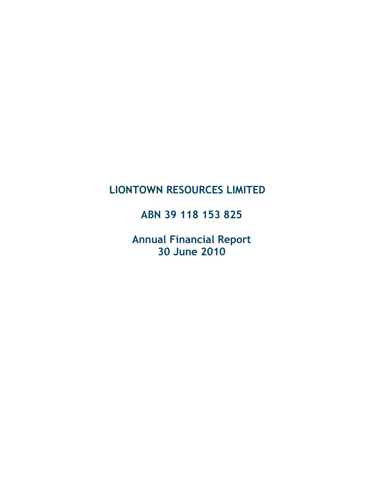# LIONTOWN RESOURCES LIMITED

ABN 39 118 153 825

Annual Financial Report 30 June 2010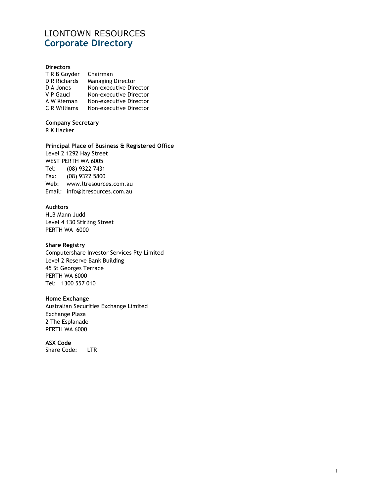## LIONTOWN RESOURCES Corporate Directory

#### **Directors**

| T R B Goyder        | Chairman               |
|---------------------|------------------------|
| <b>D R Richards</b> | Managing Director      |
| D A Jones           | Non-executive Director |
| V P Gauci           | Non-executive Director |
| A W Kiernan         | Non-executive Director |
| C R Williams        | Non-executive Director |
|                     |                        |

### Company Secretary

R K Hacker

### Principal Place of Business & Registered Office

Level 2 1292 Hay Street WEST PERTH WA 6005 Tel: (08) 9322 7431 Fax: (08) 9322 5800 Web: www.ltresources.com.au Email: info@ltresources.com.au

### Auditors

HLB Mann Judd Level 4 130 Stirling Street PERTH WA 6000

### Share Registry

Computershare Investor Services Pty Limited Level 2 Reserve Bank Building 45 St Georges Terrace PERTH WA 6000 Tel: 1300 557 010

### Home Exchange

Australian Securities Exchange Limited Exchange Plaza 2 The Esplanade PERTH WA 6000

ASX Code Share Code: LTR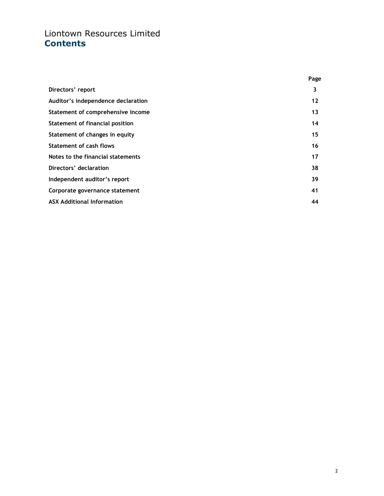# Liontown Resources Limited **Contents**

|                                    | Page |
|------------------------------------|------|
| Directors' report                  | 3    |
| Auditor's independence declaration | 12   |
| Statement of comprehensive income  | 13   |
| Statement of financial position    | 14   |
| Statement of changes in equity     | 15   |
| <b>Statement of cash flows</b>     | 16   |
| Notes to the financial statements  | 17   |
| Directors' declaration             | 38   |
| Independent auditor's report       | 39   |
| Corporate governance statement     | 41   |
| <b>ASX Additional Information</b>  | 44   |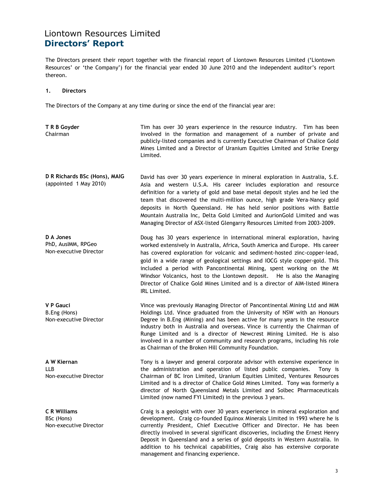The Directors present their report together with the financial report of Liontown Resources Limited ('Liontown Resources' or 'the Company') for the financial year ended 30 June 2010 and the independent auditor's report thereon.

#### 1. Directors

The Directors of the Company at any time during or since the end of the financial year are:

| T R B Goyder<br>Chairman                                    | Tim has over 30 years experience in the resource industry. Tim has been<br>involved in the formation and management of a number of private and<br>publicly-listed companies and is currently Executive Chairman of Chalice Gold<br>Mines Limited and a Director of Uranium Equities Limited and Strike Energy<br>Limited.                                                                                                                                                                                                                                                      |
|-------------------------------------------------------------|--------------------------------------------------------------------------------------------------------------------------------------------------------------------------------------------------------------------------------------------------------------------------------------------------------------------------------------------------------------------------------------------------------------------------------------------------------------------------------------------------------------------------------------------------------------------------------|
| D R Richards BSc (Hons), MAIG<br>(appointed 1 May 2010)     | David has over 30 years experience in mineral exploration in Australia, S.E.<br>Asia and western U.S.A. His career includes exploration and resource<br>definition for a variety of gold and base metal deposit styles and he led the<br>team that discovered the multi-million ounce, high grade Vera-Nancy gold<br>deposits in North Queensland. He has held senior positions with Battle<br>Mountain Australia Inc, Delta Gold Limited and AurionGold Limited and was<br>Managing Director of ASX-listed Glengarry Resources Limited from 2003-2009.                        |
| D A Jones<br>PhD, AusIMM, RPGeo<br>Non-executive Director   | Doug has 30 years experience in international mineral exploration, having<br>worked extensively in Australia, Africa, South America and Europe. His career<br>has covered exploration for volcanic and sediment-hosted zinc-copper-lead,<br>gold in a wide range of geological settings and IOCG style copper-gold. This<br>included a period with Pancontinental Mining, spent working on the Mt<br>Windsor Volcanics, host to the Liontown deposit. He is also the Managing<br>Director of Chalice Gold Mines Limited and is a director of AIM-listed Minera<br>IRL Limited. |
| V P Gauci<br>B.Eng (Hons)<br>Non-executive Director         | Vince was previously Managing Director of Pancontinental Mining Ltd and MIM<br>Holdings Ltd. Vince graduated from the University of NSW with an Honours<br>Degree in B.Eng (Mining) and has been active for many years in the resource<br>industry both in Australia and overseas. Vince is currently the Chairman of<br>Runge Limited and is a director of Newcrest Mining Limited. He is also<br>involved in a number of community and research programs, including his role<br>as Chairman of the Broken Hill Community Foundation.                                         |
| A W Kiernan<br><b>LLB</b><br>Non-executive Director         | Tony is a lawyer and general corporate advisor with extensive experience in<br>the administration and operation of listed public companies.<br>Tony is<br>Chairman of BC Iron Limited, Uranium Equities Limited, Venturex Resources<br>Limited and is a director of Chalice Gold Mines Limited. Tony was formerly a<br>director of North Queensland Metals Limited and Solbec Pharmaceuticals<br>Limited (now named FYI Limited) in the previous 3 years.                                                                                                                      |
| <b>C R Williams</b><br>BSc (Hons)<br>Non-executive Director | Craig is a geologist with over 30 years experience in mineral exploration and<br>development. Craig co-founded Equinox Minerals Limited in 1993 where he is<br>currently President, Chief Executive Officer and Director. He has been<br>directly involved in several significant discoveries, including the Ernest Henry<br>Deposit in Queensland and a series of gold deposits in Western Australia. In<br>addition to his technical capabilities, Craig also has extensive corporate<br>management and financing experience.                                                |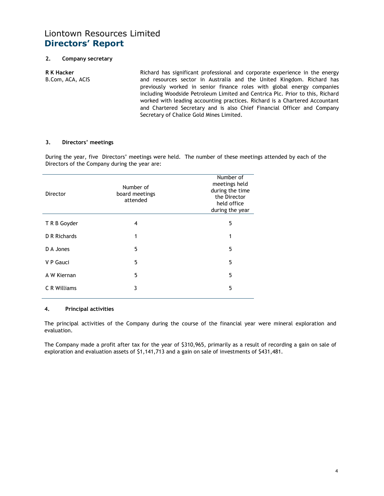### 2. Company secretary

R K Hacker B.Com, ACA, ACIS Richard has significant professional and corporate experience in the energy and resources sector in Australia and the United Kingdom. Richard has previously worked in senior finance roles with global energy companies including Woodside Petroleum Limited and Centrica Plc. Prior to this, Richard worked with leading accounting practices. Richard is a Chartered Accountant and Chartered Secretary and is also Chief Financial Officer and Company Secretary of Chalice Gold Mines Limited.

#### 3. Directors' meetings

During the year, five Directors' meetings were held. The number of these meetings attended by each of the Directors of the Company during the year are:

| Director     | Number of<br>board meetings<br>attended | Number of<br>meetings held<br>during the time<br>the Director<br>held office<br>during the year |
|--------------|-----------------------------------------|-------------------------------------------------------------------------------------------------|
| T R B Goyder | 4                                       | 5                                                                                               |
| D R Richards | 1                                       | 1                                                                                               |
| D A Jones    | 5                                       | 5                                                                                               |
| V P Gauci    | 5                                       | 5                                                                                               |
| A W Kiernan  | 5                                       | 5                                                                                               |
| C R Williams | 3                                       | 5                                                                                               |
|              |                                         |                                                                                                 |

#### 4. Principal activities

The principal activities of the Company during the course of the financial year were mineral exploration and evaluation.

The Company made a profit after tax for the year of \$310,965, primarily as a result of recording a gain on sale of exploration and evaluation assets of \$1,141,713 and a gain on sale of investments of \$431,481.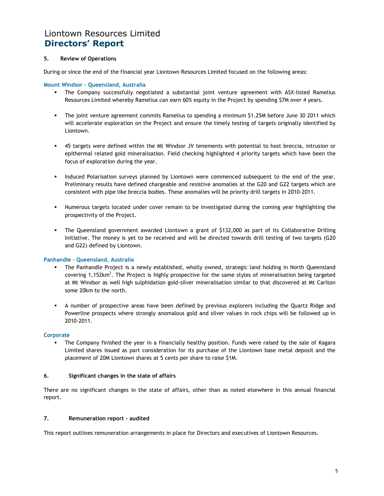### 5. Review of Operations

During or since the end of the financial year Liontown Resources Limited focused on the following areas:

#### Mount Windsor – Queensland, Australia

- The Company successfully negotiated a substantial joint venture agreement with ASX-listed Ramelius Resources Limited whereby Ramelius can earn 60% equity in the Project by spending \$7M over 4 years.
- The joint venture agreement commits Ramelius to spending a minimum \$1.25M before June 30 2011 which will accelerate exploration on the Project and ensure the timely testing of targets originally identified by Liontown.
- 45 targets were defined within the Mt Windsor JV tenements with potential to host breccia, intrusion or epithermal related gold mineralisation. Field checking highlighted 4 priority targets which have been the focus of exploration during the year.
- **Induced Polarisation surveys planned by Liontown were commenced subsequent to the end of the year.** Preliminary results have defined chargeable and resistive anomalies at the G20 and G22 targets which are consistent with pipe like breccia bodies. These anomalies will be priority drill targets in 2010-2011.
- Numerous targets located under cover remain to be investigated during the coming year highlighting the prospectivity of the Project.
- The Queensland government awarded Liontown a grant of \$132,000 as part of its Collaborative Drilling Initiative. The money is yet to be received and will be directed towards drill testing of two targets (G20 and G22) defined by Liontown.

#### Panhandle – Queensland, Australia

- The Panhandle Project is a newly established, wholly owned, strategic land holding in North Queensland covering 1,152km<sup>2</sup>. The Project is highly prospective for the same styles of mineralisation being targeted at Mt Windsor as well high sulphidation gold-silver mineralisation similar to that discovered at Mt Carlton some 20km to the north.
- A number of prospective areas have been defined by previous explorers including the Quartz Ridge and Powerline prospects where strongly anomalous gold and silver values in rock chips will be followed up in 2010-2011.

#### **Corporate**

 The Company finished the year in a financially healthy position. Funds were raised by the sale of Kagara Limited shares issued as part consideration for its purchase of the Liontown base metal deposit and the placement of 20M Liontown shares at 5 cents per share to raise \$1M.

#### 6. Significant changes in the state of affairs

There are no significant changes in the state of affairs, other than as noted elsewhere in this annual financial report.

#### 7. Remuneration report - audited

This report outlines remuneration arrangements in place for Directors and executives of Liontown Resources.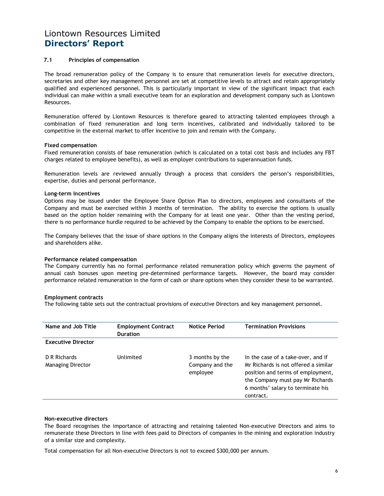#### 7.1 Principles of compensation

The broad remuneration policy of the Company is to ensure that remuneration levels for executive directors, secretaries and other key management personnel are set at competitive levels to attract and retain appropriately qualified and experienced personnel. This is particularly important in view of the significant impact that each individual can make within a small executive team for an exploration and development company such as Liontown Resources.

Remuneration offered by Liontown Resources is therefore geared to attracting talented employees through a combination of fixed remuneration and long term incentives, calibrated and individually tailored to be competitive in the external market to offer incentive to join and remain with the Company.

#### Fixed compensation

Fixed remuneration consists of base remuneration (which is calculated on a total cost basis and includes any FBT charges related to employee benefits), as well as employer contributions to superannuation funds.

Remuneration levels are reviewed annually through a process that considers the person's responsibilities, expertise, duties and personal performance.

#### Long-term incentives

Options may be issued under the Employee Share Option Plan to directors, employees and consultants of the Company and must be exercised within 3 months of termination. The ability to exercise the options is usually based on the option holder remaining with the Company for at least one year. Other than the vesting period, there is no performance hurdle required to be achieved by the Company to enable the options to be exercised.

The Company believes that the issue of share options in the Company aligns the interests of Directors, employees and shareholders alike.

#### Performance related compensation

The Company currently has no formal performance related remuneration policy which governs the payment of annual cash bonuses upon meeting pre-determined performance targets. However, the board may consider performance related remuneration in the form of cash or share options when they consider these to be warranted.

#### Employment contracts

The following table sets out the contractual provisions of executive Directors and key management personnel.

| Name and Job Title                       | <b>Employment Contract</b><br><b>Duration</b> | <b>Notice Period</b>                           | <b>Termination Provisions</b>                                                                                                                                                                         |
|------------------------------------------|-----------------------------------------------|------------------------------------------------|-------------------------------------------------------------------------------------------------------------------------------------------------------------------------------------------------------|
| <b>Executive Director</b>                |                                               |                                                |                                                                                                                                                                                                       |
| D R Richards<br><b>Managing Director</b> | Unlimited                                     | 3 months by the<br>Company and the<br>employee | In the case of a take-over, and if<br>Mr Richards is not offered a similar<br>position and terms of employment,<br>the Company must pay Mr Richards<br>6 months' salary to terminate his<br>contract. |

#### Non-executive directors

The Board recognises the importance of attracting and retaining talented Non-executive Directors and aims to remunerate these Directors in line with fees paid to Directors of companies in the mining and exploration industry of a similar size and complexity.

Total compensation for all Non-executive Directors is not to exceed \$300,000 per annum.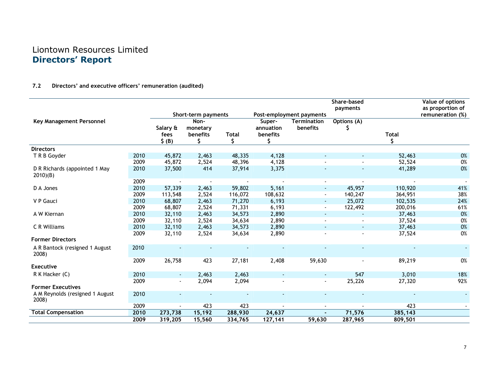### 7.2 Directors' and executive officers' remuneration (audited)

|                                               |      |                             |                              |                   |                                       |                                | Share-based<br>payments |         | Value of options<br>as proportion of |
|-----------------------------------------------|------|-----------------------------|------------------------------|-------------------|---------------------------------------|--------------------------------|-------------------------|---------|--------------------------------------|
|                                               |      |                             | Short-term payments          |                   |                                       | Post-employment payments       |                         |         | remuneration (%)                     |
| Key Management Personnel                      |      | Salary &<br>fees<br>$$$ (B) | Non-<br>monetary<br>benefits | <b>Total</b><br>Ś | Super-<br>annuation<br>benefits<br>Š. | <b>Termination</b><br>benefits | Options (A)<br>S        | Total   |                                      |
| <b>Directors</b>                              |      |                             |                              |                   |                                       |                                |                         |         |                                      |
| T R B Goyder                                  | 2010 | 45,872                      | 2,463                        | 48,335            | 4,128                                 |                                |                         | 52,463  | 0%                                   |
|                                               | 2009 | 45,872                      | 2,524                        | 48,396            | 4,128                                 |                                |                         | 52,524  | 0%                                   |
| D R Richards (appointed 1 May<br>$2010$ $(B)$ | 2010 | 37,500                      | 414                          | 37,914            | 3,375                                 |                                |                         | 41,289  | 0%                                   |
|                                               | 2009 | $\overline{\phantom{a}}$    |                              | $\sim$            |                                       | $\sim$                         |                         |         |                                      |
| D A Jones                                     | 2010 | 57,339                      | 2,463                        | 59,802            | 5,161                                 | $\sim$                         | 45,957                  | 110,920 | 41%                                  |
|                                               | 2009 | 113,548                     | 2,524                        | 116,072           | 108,632                               | $\blacksquare$                 | 140,247                 | 364,951 | 38%                                  |
| V P Gauci                                     | 2010 | 68,807                      | 2,463                        | 71,270            | 6,193                                 | $\blacksquare$                 | 25,072                  | 102,535 | 24%                                  |
|                                               | 2009 | 68,807                      | 2,524                        | 71,331            | 6,193                                 | $\blacksquare$                 | 122,492                 | 200,016 | 61%                                  |
| A W Kiernan                                   | 2010 | 32,110                      | 2,463                        | 34,573            | 2,890                                 | $\sim$                         |                         | 37,463  | 0%                                   |
|                                               | 2009 | 32,110                      | 2,524                        | 34,634            | 2,890                                 |                                |                         | 37,524  | 0%                                   |
| C R Williams                                  | 2010 | 32,110                      | 2,463                        | 34,573            | 2,890                                 |                                | $\sim$                  | 37,463  | 0%                                   |
|                                               | 2009 | 32,110                      | 2,524                        | 34,634            | 2,890                                 |                                |                         | 37,524  | 0%                                   |
| <b>Former Directors</b>                       |      |                             |                              |                   |                                       |                                |                         |         |                                      |
| A R Bantock (resigned 1 August<br>2008)       | 2010 |                             |                              |                   |                                       |                                |                         |         |                                      |
|                                               | 2009 | 26,758                      | 423                          | 27,181            | 2,408                                 | 59,630                         |                         | 89,219  | 0%                                   |
| <b>Executive</b>                              |      |                             |                              |                   |                                       |                                |                         |         |                                      |
| R K Hacker (C)                                | 2010 | $\sim$                      | 2,463                        | 2,463             | $\sim$                                | $\sim$                         | 547                     | 3,010   | 18%                                  |
|                                               | 2009 |                             | 2,094                        | 2,094             |                                       |                                | 25,226                  | 27,320  | 92%                                  |
| <b>Former Executives</b>                      |      |                             |                              |                   |                                       |                                |                         |         |                                      |
| A M Reynolds (resigned 1 August<br>2008)      | 2010 |                             |                              |                   |                                       | $\sim$                         |                         |         |                                      |
|                                               | 2009 |                             | 423                          | 423               |                                       |                                |                         | 423     |                                      |
| <b>Total Compensation</b>                     | 2010 | 273,738                     | 15,192                       | 288,930           | 24,637                                |                                | 71,576                  | 385,143 |                                      |
|                                               | 2009 | 319,205                     | 15,560                       | 334,765           | 127,141                               | 59,630                         | 287,965                 | 809,501 |                                      |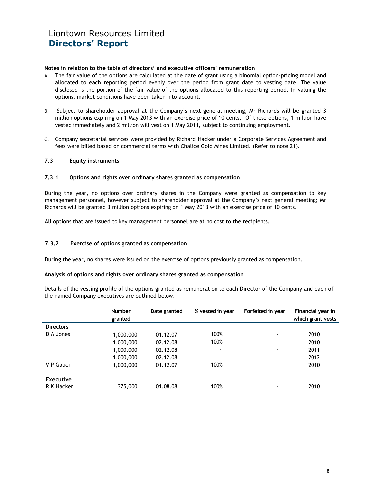#### Notes in relation to the table of directors' and executive officers' remuneration

- A. The fair value of the options are calculated at the date of grant using a binomial option-pricing model and allocated to each reporting period evenly over the period from grant date to vesting date. The value disclosed is the portion of the fair value of the options allocated to this reporting period. In valuing the options, market conditions have been taken into account.
- B. Subject to shareholder approval at the Company's next general meeting, Mr Richards will be granted 3 million options expiring on 1 May 2013 with an exercise price of 10 cents. Of these options, 1 million have vested immediately and 2 million will vest on 1 May 2011, subject to continuing employment.
- C. Company secretarial services were provided by Richard Hacker under a Corporate Services Agreement and fees were billed based on commercial terms with Chalice Gold Mines Limited. (Refer to note 21).

#### 7.3 Equity instruments

#### 7.3.1 Options and rights over ordinary shares granted as compensation

During the year, no options over ordinary shares in the Company were granted as compensation to key management personnel, however subject to shareholder approval at the Company's next general meeting; Mr Richards will be granted 3 million options expiring on 1 May 2013 with an exercise price of 10 cents.

All options that are issued to key management personnel are at no cost to the recipients.

#### 7.3.2 Exercise of options granted as compensation

During the year, no shares were issued on the exercise of options previously granted as compensation.

#### Analysis of options and rights over ordinary shares granted as compensation

Details of the vesting profile of the options granted as remuneration to each Director of the Company and each of the named Company executives are outlined below.

|                         | <b>Number</b><br>granted | Date granted | % vested in year         | Forfeited in year        | Financial year in<br>which grant vests |
|-------------------------|--------------------------|--------------|--------------------------|--------------------------|----------------------------------------|
| <b>Directors</b>        |                          |              |                          |                          |                                        |
| D A Jones               | 1,000,000                | 01.12.07     | 100%                     | $\overline{\phantom{a}}$ | 2010                                   |
|                         | 1,000,000                | 02.12.08     | 100%                     | ۰                        | 2010                                   |
|                         | 1,000,000                | 02.12.08     | $\overline{\phantom{a}}$ | -                        | 2011                                   |
|                         | 1,000,000                | 02.12.08     | $\overline{\phantom{a}}$ | $\overline{\phantom{a}}$ | 2012                                   |
| V P Gauci               | 1,000,000                | 01.12.07     | 100%                     | $\blacksquare$           | 2010                                   |
| Executive<br>R K Hacker | 375,000                  | 01.08.08     | 100%                     | -                        | 2010                                   |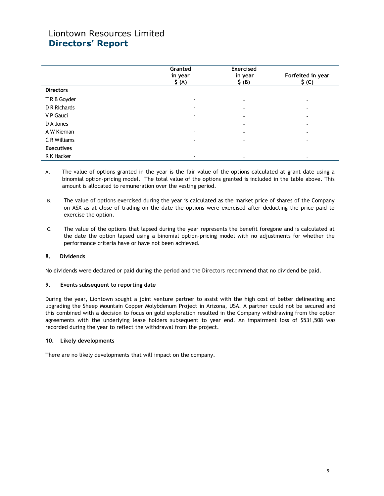|                   | Granted<br>in year<br>$\zeta(A)$ | <b>Exercised</b><br>in year<br>\$ (B) | Forfeited in year<br>$\zeta$ (C) |
|-------------------|----------------------------------|---------------------------------------|----------------------------------|
| <b>Directors</b>  |                                  |                                       |                                  |
| T R B Goyder      | $\overline{\phantom{a}}$         | $\overline{\phantom{a}}$              | -                                |
| D R Richards      | $\overline{\phantom{a}}$         | $\overline{\phantom{a}}$              | -                                |
| V P Gauci         | $\overline{\phantom{a}}$         | $\overline{\phantom{a}}$              | ۰                                |
| D A Jones         | $\overline{\phantom{a}}$         | $\overline{\phantom{a}}$              | $\overline{\phantom{a}}$         |
| A W Kiernan       | $\overline{\phantom{a}}$         | $\overline{\phantom{a}}$              | ۰                                |
| C R Williams      | $\overline{\phantom{a}}$         | -                                     | -                                |
| <b>Executives</b> |                                  |                                       |                                  |
| R K Hacker        | ٠                                |                                       | -                                |

A. The value of options granted in the year is the fair value of the options calculated at grant date using a binomial option-pricing model. The total value of the options granted is included in the table above. This amount is allocated to remuneration over the vesting period.

- B. The value of options exercised during the year is calculated as the market price of shares of the Company on ASX as at close of trading on the date the options were exercised after deducting the price paid to exercise the option.
- C. The value of the options that lapsed during the year represents the benefit foregone and is calculated at the date the option lapsed using a binomial option-pricing model with no adjustments for whether the performance criteria have or have not been achieved.

### 8. Dividends

No dividends were declared or paid during the period and the Directors recommend that no dividend be paid.

#### 9. Events subsequent to reporting date

During the year, Liontown sought a joint venture partner to assist with the high cost of better delineating and upgrading the Sheep Mountain Copper Molybdenum Project in Arizona, USA. A partner could not be secured and this combined with a decision to focus on gold exploration resulted in the Company withdrawing from the option agreements with the underlying lease holders subsequent to year end. An impairment loss of \$531,508 was recorded during the year to reflect the withdrawal from the project.

#### 10. Likely developments

There are no likely developments that will impact on the company.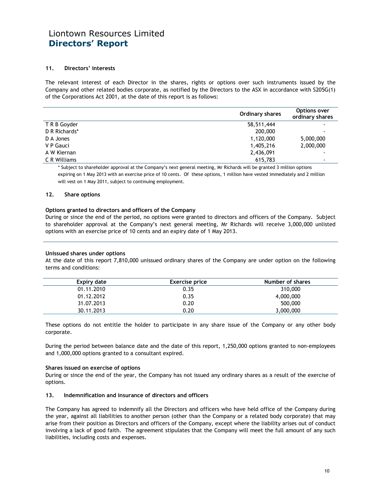#### 11. Directors' interests

The relevant interest of each Director in the shares, rights or options over such instruments issued by the Company and other related bodies corporate, as notified by the Directors to the ASX in accordance with S205G(1) of the Corporations Act 2001, at the date of this report is as follows:

|               | Ordinary shares | Options over<br>ordinary shares |
|---------------|-----------------|---------------------------------|
| T R B Goyder  | 58,511,444      |                                 |
| D R Richards* | 200,000         |                                 |
| D A Jones     | 1,120,000       | 5,000,000                       |
| V P Gauci     | 1,405,216       | 2,000,000                       |
| A W Kiernan   | 2,436,091       |                                 |
| C R Williams  | 615,783         |                                 |

\* Subject to shareholder approval at the Company's next general meeting, Mr Richards will be granted 3 million options expiring on 1 May 2013 with an exercise price of 10 cents. Of these options, 1 million have vested immediately and 2 million will vest on 1 May 2011, subject to continuing employment.

#### 12. Share options

#### Options granted to directors and officers of the Company

During or since the end of the period, no options were granted to directors and officers of the Company. Subject to shareholder approval at the Company's next general meeting, Mr Richards will receive 3,000,000 unlisted options with an exercise price of 10 cents and an expiry date of 1 May 2013.

#### Unissued shares under options

At the date of this report 7,810,000 unissued ordinary shares of the Company are under option on the following terms and conditions:

| Expiry date | <b>Exercise price</b> | Number of shares |
|-------------|-----------------------|------------------|
| 01.11.2010  | 0.35                  | 310,000          |
| 01.12.2012  | 0.35                  | 4,000,000        |
| 31.07.2013  | 0.20                  | 500,000          |
| 30.11.2013  | 0.20                  | 3,000,000        |

These options do not entitle the holder to participate in any share issue of the Company or any other body corporate.

During the period between balance date and the date of this report, 1,250,000 options granted to non-employees and 1,000,000 options granted to a consultant expired.

#### Shares issued on exercise of options

During or since the end of the year, the Company has not issued any ordinary shares as a result of the exercise of options.

#### 13. Indemnification and insurance of directors and officers

The Company has agreed to indemnify all the Directors and officers who have held office of the Company during the year, against all liabilities to another person (other than the Company or a related body corporate) that may arise from their position as Directors and officers of the Company, except where the liability arises out of conduct involving a lack of good faith. The agreement stipulates that the Company will meet the full amount of any such liabilities, including costs and expenses.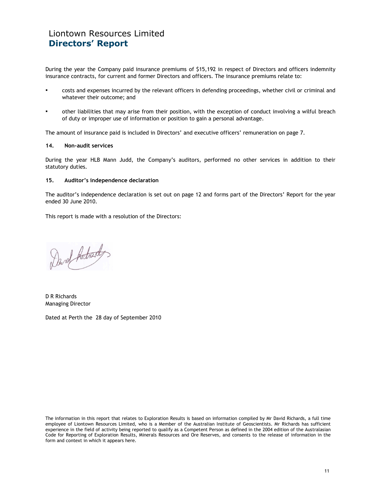During the year the Company paid insurance premiums of \$15,192 in respect of Directors and officers indemnity insurance contracts, for current and former Directors and officers. The insurance premiums relate to:

- costs and expenses incurred by the relevant officers in defending proceedings, whether civil or criminal and whatever their outcome; and
- other liabilities that may arise from their position, with the exception of conduct involving a wilful breach of duty or improper use of information or position to gain a personal advantage.

The amount of insurance paid is included in Directors' and executive officers' remuneration on page 7.

#### 14. Non-audit services

During the year HLB Mann Judd, the Company's auditors, performed no other services in addition to their statutory duties.

#### 15. Auditor's independence declaration

The auditor's independence declaration is set out on page 12 and forms part of the Directors' Report for the year ended 30 June 2010.

This report is made with a resolution of the Directors:

Davel Adrady

D R Richards Managing Director

Dated at Perth the 28 day of September 2010

The information in this report that relates to Exploration Results is based on information compiled by Mr David Richards, a full time employee of Liontown Resources Limited, who is a Member of the Australian Institute of Geoscientists. Mr Richards has sufficient experience in the field of activity being reported to qualify as a Competent Person as defined in the 2004 edition of the Australasian Code for Reporting of Exploration Results, Minerals Resources and Ore Reserves, and consents to the release of information in the form and context in which it appears here.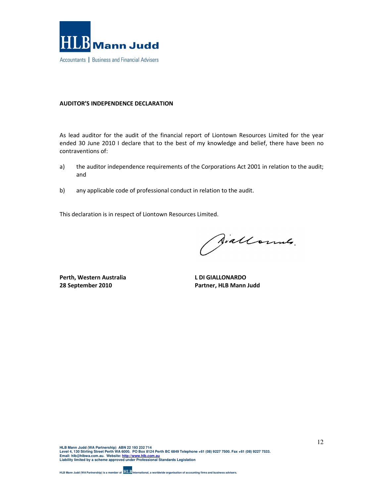

### AUDITOR'S INDEPENDENCE DECLARATION

As lead auditor for the audit of the financial report of Liontown Resources Limited for the year ended 30 June 2010 I declare that to the best of my knowledge and belief, there have been no contraventions of:

- a) the auditor independence requirements of the Corporations Act 2001 in relation to the audit; and
- b) any applicable code of professional conduct in relation to the audit.

This declaration is in respect of Liontown Resources Limited.

Aiallonnes.

Perth, Western Australia 28 September 2010

L DI GIALLONARDO Partner, HLB Mann Judd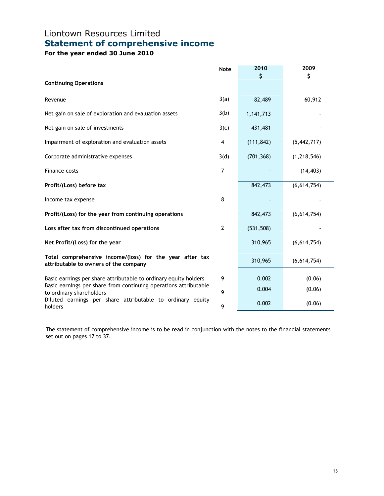# Liontown Resources Limited Statement of comprehensive income

For the year ended 30 June 2010

|                                                                                                   | <b>Note</b>    | 2010       | 2009          |
|---------------------------------------------------------------------------------------------------|----------------|------------|---------------|
| <b>Continuing Operations</b>                                                                      |                | \$         | \$            |
| Revenue                                                                                           | 3(a)           | 82,489     | 60,912        |
| Net gain on sale of exploration and evaluation assets                                             | 3(b)           | 1,141,713  |               |
| Net gain on sale of investments                                                                   | 3(c)           | 431,481    |               |
| Impairment of exploration and evaluation assets                                                   | 4              | (111, 842) | (5, 442, 717) |
| Corporate administrative expenses                                                                 | 3(d)           | (701, 368) | (1, 218, 546) |
| Finance costs                                                                                     | 7              |            | (14, 403)     |
| Profit/(Loss) before tax                                                                          |                | 842,473    | (6,614,754)   |
| Income tax expense                                                                                | 8              |            |               |
| Profit/(Loss) for the year from continuing operations                                             |                | 842,473    | (6,614,754)   |
| Loss after tax from discontinued operations                                                       | $\overline{2}$ | (531, 508) |               |
| Net Profit/(Loss) for the year                                                                    |                | 310,965    | (6,614,754)   |
| Total comprehensive income/(loss) for the year after tax<br>attributable to owners of the company |                | 310,965    | (6,614,754)   |
| Basic earnings per share attributable to ordinary equity holders                                  | 9              | 0.002      | (0.06)        |
| Basic earnings per share from continuing operations attributable<br>to ordinary shareholders      | 9              | 0.004      | (0.06)        |
| Diluted earnings per share attributable to ordinary equity<br>holders                             | 9              | 0.002      | (0.06)        |

The statement of comprehensive income is to be read in conjunction with the notes to the financial statements set out on pages 17 to 37.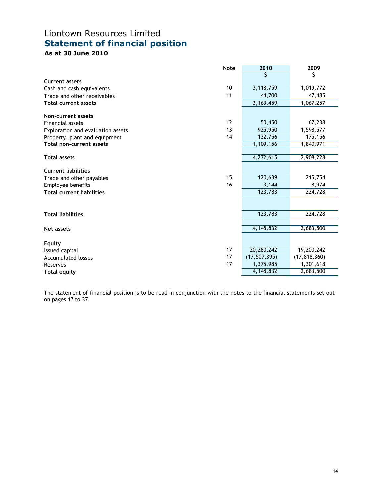# Liontown Resources Limited Statement of financial position

As at 30 June 2010

|                                   | <b>Note</b> | 2010           | 2009           |
|-----------------------------------|-------------|----------------|----------------|
|                                   |             | \$             | \$             |
| <b>Current assets</b>             |             |                |                |
| Cash and cash equivalents         | 10          | 3,118,759      | 1,019,772      |
| Trade and other receivables       | 11          | 44,700         | 47,485         |
| <b>Total current assets</b>       |             | 3, 163, 459    | 1,067,257      |
| Non-current assets                |             |                |                |
| Financial assets                  | 12          | 50,450         | 67,238         |
| Exploration and evaluation assets | 13          | 925,950        | 1,598,577      |
| Property, plant and equipment     | 14          | 132,756        | 175,156        |
| Total non-current assets          |             | 1,109,156      | 1,840,971      |
|                                   |             |                |                |
| <b>Total assets</b>               |             | 4,272,615      | 2,908,228      |
| <b>Current liabilities</b>        |             |                |                |
| Trade and other payables          | 15          | 120,639        | 215,754        |
| Employee benefits                 | 16          | 3,144          | 8,974          |
| <b>Total current liabilities</b>  |             | 123,783        | 224,728        |
|                                   |             |                |                |
| <b>Total liabilities</b>          |             | 123,783        | 224,728        |
|                                   |             |                |                |
| <b>Net assets</b>                 |             | 4,148,832      | 2,683,500      |
| <b>Equity</b>                     |             |                |                |
| Issued capital                    | 17          | 20,280,242     | 19,200,242     |
| <b>Accumulated losses</b>         | 17          | (17, 507, 395) | (17, 818, 360) |
| Reserves                          | 17          | 1,375,985      | 1,301,618      |
| <b>Total equity</b>               |             | 4,148,832      | 2,683,500      |

The statement of financial position is to be read in conjunction with the notes to the financial statements set out on pages 17 to 37.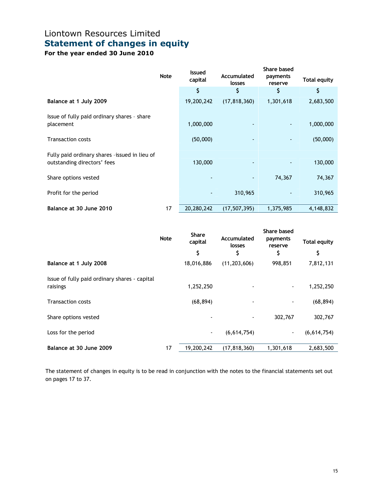# Liontown Resources Limited Statement of changes in equity

For the year ended 30 June 2010

|                                               | <b>Note</b> | <b>Issued</b><br>capital | Accumulated<br>losses | Share based<br>payments<br>reserve | <b>Total equity</b> |
|-----------------------------------------------|-------------|--------------------------|-----------------------|------------------------------------|---------------------|
|                                               |             | \$                       | \$                    | \$                                 | \$                  |
| Balance at 1 July 2009                        |             | 19,200,242               | (17, 818, 360)        | 1,301,618                          | 2,683,500           |
| Issue of fully paid ordinary shares - share   |             |                          |                       |                                    |                     |
| placement                                     |             | 1,000,000                |                       |                                    | 1,000,000           |
| <b>Transaction costs</b>                      |             | (50,000)                 |                       |                                    | (50,000)            |
| Fully paid ordinary shares -issued in lieu of |             |                          |                       |                                    |                     |
| outstanding directors' fees                   |             | 130,000                  |                       |                                    | 130,000             |
| Share options vested                          |             |                          |                       | 74,367                             | 74,367              |
| Profit for the period                         |             | $\overline{\phantom{a}}$ | 310,965               |                                    | 310,965             |
| Balance at 30 June 2010                       | 17          | 20,280,242               | (17, 507, 395)        | 1,375,985                          | 4,148,832           |

|                                                           | <b>Note</b> | <b>Share</b><br>capital<br>\$ | Accumulated<br>losses<br>S | Share based<br>payments<br>reserve<br>\$ | <b>Total equity</b><br>\$ |
|-----------------------------------------------------------|-------------|-------------------------------|----------------------------|------------------------------------------|---------------------------|
| Balance at 1 July 2008                                    |             | 18,016,886                    | (11, 203, 606)             | 998,851                                  | 7,812,131                 |
| Issue of fully paid ordinary shares - capital<br>raisings |             | 1,252,250                     |                            |                                          | 1,252,250                 |
| <b>Transaction costs</b>                                  |             | (68, 894)                     |                            |                                          | (68, 894)                 |
| Share options vested                                      |             |                               |                            | 302,767                                  | 302,767                   |
| Loss for the period                                       |             | $\blacksquare$                | (6,614,754)                | ٠                                        | (6,614,754)               |
| Balance at 30 June 2009                                   | 17          | 19,200,242                    | (17, 818, 360)             | 1,301,618                                | 2,683,500                 |

The statement of changes in equity is to be read in conjunction with the notes to the financial statements set out on pages 17 to 37.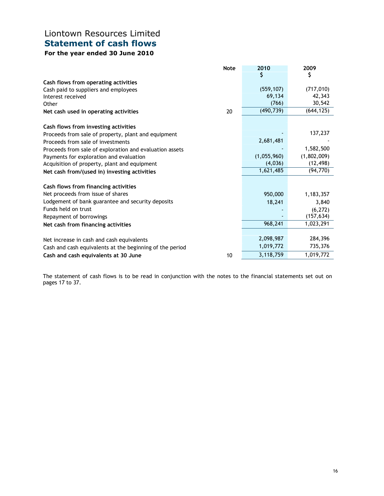# Liontown Resources Limited Statement of cash flows

## For the year ended 30 June 2010

|                                                          | <b>Note</b> | 2010        | 2009                   |
|----------------------------------------------------------|-------------|-------------|------------------------|
|                                                          |             | \$          | \$                     |
| Cash flows from operating activities                     |             |             |                        |
| Cash paid to suppliers and employees                     |             | (559, 107)  | (717, 010)             |
| Interest received                                        |             | 69,134      | 42,343                 |
| Other                                                    |             | (766)       | 30,542                 |
| Net cash used in operating activities                    | 20          | (490, 739)  | (644, 125)             |
| Cash flows from investing activities                     |             |             |                        |
| Proceeds from sale of property, plant and equipment      |             |             | 137,237                |
| Proceeds from sale of investments                        |             | 2,681,481   |                        |
| Proceeds from sale of exploration and evaluation assets  |             |             | 1,582,500              |
| Payments for exploration and evaluation                  |             | (1,055,960) | (1,802,009)            |
| Acquisition of property, plant and equipment             |             | (4,036)     | (12, 498)              |
| Net cash from/(used in) investing activities             |             | 1,621,485   | (94, 770)              |
| Cash flows from financing activities                     |             |             |                        |
| Net proceeds from issue of shares                        |             | 950,000     | 1,183,357              |
| Lodgement of bank guarantee and security deposits        |             | 18,241      | 3,840                  |
| Funds held on trust                                      |             |             |                        |
|                                                          |             |             | (6, 272)<br>(157, 634) |
| Repayment of borrowings                                  |             | 968,241     | 1,023,291              |
| Net cash from financing activities                       |             |             |                        |
| Net increase in cash and cash equivalents                |             | 2,098,987   | 284,396                |
| Cash and cash equivalents at the beginning of the period |             | 1,019,772   | 735,376                |
| Cash and cash equivalents at 30 June                     | 10          | 3,118,759   | 1,019,772              |

The statement of cash flows is to be read in conjunction with the notes to the financial statements set out on pages 17 to 37.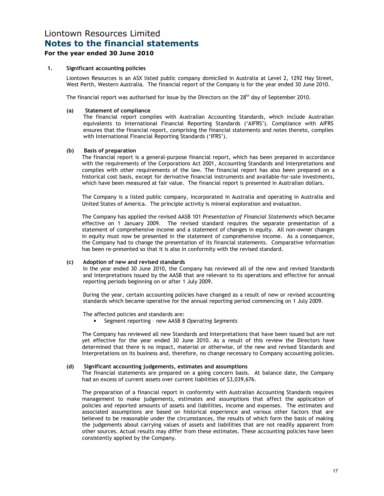### For the year ended 30 June 2010

#### 1. Significant accounting policies

Liontown Resources is an ASX listed public company domiciled in Australia at Level 2, 1292 Hay Street, West Perth, Western Australia. The financial report of the Company is for the year ended 30 June 2010.

The financial report was authorised for issue by the Directors on the 28<sup>th</sup> day of September 2010.

#### (a) Statement of compliance

The financial report complies with Australian Accounting Standards, which include Australian equivalents to International Financial Reporting Standards ('AIFRS'). Compliance with AIFRS ensures that the financial report, comprising the financial statements and notes thereto, complies with International Financial Reporting Standards ('IFRS').

#### (b) Basis of preparation

The financial report is a general-purpose financial report, which has been prepared in accordance with the requirements of the Corporations Act 2001, Accounting Standards and Interpretations and complies with other requirements of the law. The financial report has also been prepared on a historical cost basis, except for derivative financial instruments and available-for-sale investments, which have been measured at fair value. The financial report is presented in Australian dollars.

The Company is a listed public company, incorporated in Australia and operating in Australia and United States of America. The principle activity is mineral exploration and evaluation.

The Company has applied the revised AASB 101 Presentation of Financial Statements which became effective on 1 January 2009. The revised standard requires the separate presentation of a statement of comprehensive income and a statement of changes in equity. All non-owner changes in equity must now be presented in the statement of comprehensive income. As a consequence, the Company had to change the presentation of its financial statements. Comparative information has been re-presented so that it is also in conformity with the revised standard.

#### (c) Adoption of new and revised standards

In the year ended 30 June 2010, the Company has reviewed all of the new and revised Standards and Interpretations issued by the AASB that are relevant to its operations and effective for annual reporting periods beginning on or after 1 July 2009.

During the year, certain accounting policies have changed as a result of new or revised accounting standards which became operative for the annual reporting period commencing on 1 July 2009.

The affected policies and standards are:

• Segment reporting – new AASB 8 Operating Segments

The Company has reviewed all new Standards and Interpretations that have been issued but are not yet effective for the year ended 30 June 2010. As a result of this review the Directors have determined that there is no impact, material or otherwise, of the new and revised Standards and Interpretations on its business and, therefore, no change necessary to Company accounting policies.

#### (d) Significant accounting judgements, estimates and assumptions

The financial statements are prepared on a going concern basis. At balance date, the Company had an excess of current assets over current liabilities of \$3,039,676.

The preparation of a financial report in conformity with Australian Accounting Standards requires management to make judgements, estimates and assumptions that affect the application of policies and reported amounts of assets and liabilities, income and expenses. The estimates and associated assumptions are based on historical experience and various other factors that are believed to be reasonable under the circumstances, the results of which form the basis of making the judgements about carrying values of assets and liabilities that are not readily apparent from other sources. Actual results may differ from these estimates. These accounting policies have been consistently applied by the Company.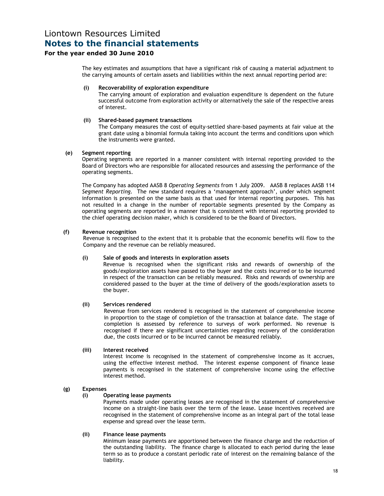### For the year ended 30 June 2010

The key estimates and assumptions that have a significant risk of causing a material adjustment to the carrying amounts of certain assets and liabilities within the next annual reporting period are:

#### (i) Recoverability of exploration expenditure

The carrying amount of exploration and evaluation expenditure is dependent on the future successful outcome from exploration activity or alternatively the sale of the respective areas of interest.

#### (ii) Shared-based payment transactions

The Company measures the cost of equity-settled share-based payments at fair value at the grant date using a binomial formula taking into account the terms and conditions upon which the instruments were granted.

#### (e) Segment reporting

Operating segments are reported in a manner consistent with internal reporting provided to the Board of Directors who are responsible for allocated resources and assessing the performance of the operating segments.

The Company has adopted AASB 8 Operating Segments from 1 July 2009. AASB 8 replaces AASB 114 Segment Reporting. The new standard requires a 'management approach', under which segment information is presented on the same basis as that used for internal reporting purposes. This has not resulted in a change in the number of reportable segments presented by the Company as operating segments are reported in a manner that is consistent with internal reporting provided to the chief operating decision maker, which is considered to be the Board of Directors.

#### (f) Revenue recognition

Revenue is recognised to the extent that it is probable that the economic benefits will flow to the Company and the revenue can be reliably measured.

#### (i) Sale of goods and interests in exploration assets

Revenue is recognised when the significant risks and rewards of ownership of the goods/exploration assets have passed to the buyer and the costs incurred or to be incurred in respect of the transaction can be reliably measured. Risks and rewards of ownership are considered passed to the buyer at the time of delivery of the goods/exploration assets to the buyer.

#### (ii) Services rendered

Revenue from services rendered is recognised in the statement of comprehensive income in proportion to the stage of completion of the transaction at balance date. The stage of completion is assessed by reference to surveys of work performed. No revenue is recognised if there are significant uncertainties regarding recovery of the consideration due, the costs incurred or to be incurred cannot be measured reliably.

#### (iii) Interest received

Interest income is recognised in the statement of comprehensive income as it accrues, using the effective interest method. The interest expense component of finance lease payments is recognised in the statement of comprehensive income using the effective interest method.

#### (g) Expenses

#### (i) Operating lease payments

Payments made under operating leases are recognised in the statement of comprehensive income on a straight-line basis over the term of the lease. Lease incentives received are recognised in the statement of comprehensive income as an integral part of the total lease expense and spread over the lease term.

#### (ii) Finance lease payments

Minimum lease payments are apportioned between the finance charge and the reduction of the outstanding liability. The finance charge is allocated to each period during the lease term so as to produce a constant periodic rate of interest on the remaining balance of the liability.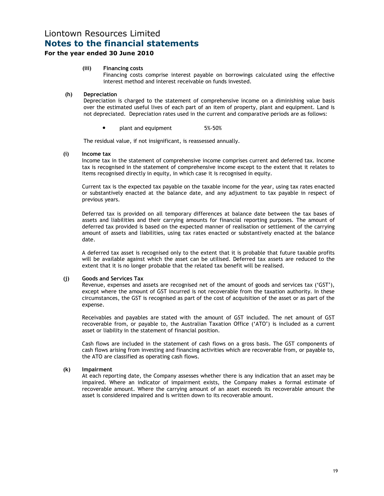### For the year ended 30 June 2010

#### (iii) Financing costs

Financing costs comprise interest payable on borrowings calculated using the effective interest method and interest receivable on funds invested.

#### (h) Depreciation

Depreciation is charged to the statement of comprehensive income on a diminishing value basis over the estimated useful lives of each part of an item of property, plant and equipment. Land is not depreciated. Depreciation rates used in the current and comparative periods are as follows:

plant and equipment 5%-50%

The residual value, if not insignificant, is reassessed annually.

#### (i) Income tax

Income tax in the statement of comprehensive income comprises current and deferred tax. Income tax is recognised in the statement of comprehensive income except to the extent that it relates to items recognised directly in equity, in which case it is recognised in equity.

Current tax is the expected tax payable on the taxable income for the year, using tax rates enacted or substantively enacted at the balance date, and any adjustment to tax payable in respect of previous years.

Deferred tax is provided on all temporary differences at balance date between the tax bases of assets and liabilities and their carrying amounts for financial reporting purposes. The amount of deferred tax provided is based on the expected manner of realisation or settlement of the carrying amount of assets and liabilities, using tax rates enacted or substantively enacted at the balance date.

A deferred tax asset is recognised only to the extent that it is probable that future taxable profits will be available against which the asset can be utilised. Deferred tax assets are reduced to the extent that it is no longer probable that the related tax benefit will be realised.

#### (j) Goods and Services Tax

Revenue, expenses and assets are recognised net of the amount of goods and services tax ('GST'), except where the amount of GST incurred is not recoverable from the taxation authority. In these circumstances, the GST is recognised as part of the cost of acquisition of the asset or as part of the expense.

Receivables and payables are stated with the amount of GST included. The net amount of GST recoverable from, or payable to, the Australian Taxation Office ('ATO') is included as a current asset or liability in the statement of financial position.

Cash flows are included in the statement of cash flows on a gross basis. The GST components of cash flows arising from investing and financing activities which are recoverable from, or payable to, the ATO are classified as operating cash flows.

#### (k) Impairment

At each reporting date, the Company assesses whether there is any indication that an asset may be impaired. Where an indicator of impairment exists, the Company makes a formal estimate of recoverable amount. Where the carrying amount of an asset exceeds its recoverable amount the asset is considered impaired and is written down to its recoverable amount.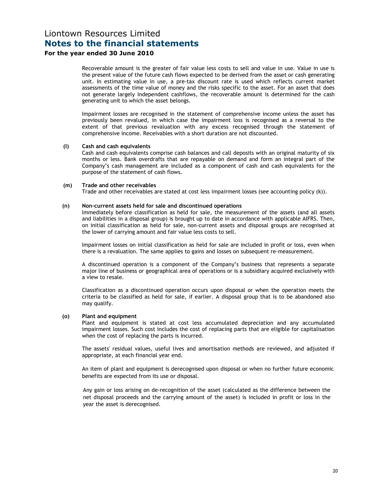### For the year ended 30 June 2010

Recoverable amount is the greater of fair value less costs to sell and value in use. Value in use is the present value of the future cash flows expected to be derived from the asset or cash generating unit. In estimating value in use, a pre-tax discount rate is used which reflects current market assessments of the time value of money and the risks specific to the asset. For an asset that does not generate largely independent cashflows, the recoverable amount is determined for the cash generating unit to which the asset belongs.

Impairment losses are recognised in the statement of comprehensive income unless the asset has previously been revalued, in which case the impairment loss is recognised as a reversal to the extent of that previous revaluation with any excess recognised through the statement of comprehensive income. Receivables with a short duration are not discounted.

#### (l) Cash and cash equivalents

Cash and cash equivalents comprise cash balances and call deposits with an original maturity of six months or less. Bank overdrafts that are repayable on demand and form an integral part of the Company's cash management are included as a component of cash and cash equivalents for the purpose of the statement of cash flows.

#### (m) Trade and other receivables

Trade and other receivables are stated at cost less impairment losses (see accounting policy (k)).

#### (n) Non-current assets held for sale and discontinued operations

Immediately before classification as held for sale, the measurement of the assets (and all assets and liabilities in a disposal group) is brought up to date in accordance with applicable AIFRS. Then, on initial classification as held for sale, non-current assets and disposal groups are recognised at the lower of carrying amount and fair value less costs to sell.

Impairment losses on initial classification as held for sale are included in profit or loss, even when there is a revaluation. The same applies to gains and losses on subsequent re-measurement.

A discontinued operation is a component of the Company's business that represents a separate major line of business or geographical area of operations or is a subsidiary acquired exclusively with a view to resale.

Classification as a discontinued operation occurs upon disposal or when the operation meets the criteria to be classified as held for sale, if earlier. A disposal group that is to be abandoned also may qualify.

#### (o) Plant and equipment

Plant and equipment is stated at cost less accumulated depreciation and any accumulated impairment losses. Such cost includes the cost of replacing parts that are eligible for capitalisation when the cost of replacing the parts is incurred.

The assets' residual values, useful lives and amortisation methods are reviewed, and adjusted if appropriate, at each financial year end.

An item of plant and equipment is derecognised upon disposal or when no further future economic benefits are expected from its use or disposal.

Any gain or loss arising on de-recognition of the asset (calculated as the difference between the net disposal proceeds and the carrying amount of the asset) is included in profit or loss in the year the asset is derecognised.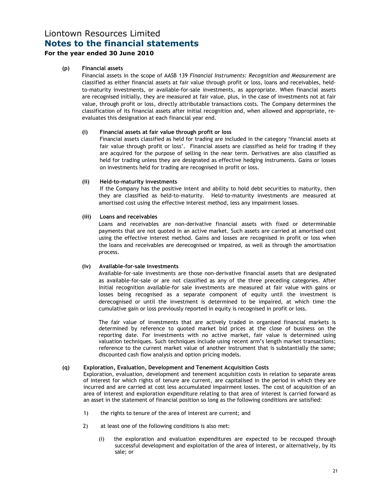### For the year ended 30 June 2010

### (p) Financial assets

Financial assets in the scope of AASB 139 Financial Instruments: Recognition and Measurement are classified as either financial assets at fair value through profit or loss, loans and receivables, heldto-maturity investments, or available-for-sale investments, as appropriate. When financial assets are recognised initially, they are measured at fair value, plus, in the case of investments not at fair value, through profit or loss, directly attributable transactions costs. The Company determines the classification of its financial assets after initial recognition and, when allowed and appropriate, reevaluates this designation at each financial year end.

#### (i) Financial assets at fair value through profit or loss

 Financial assets classified as held for trading are included in the category 'financial assets at fair value through profit or loss'. Financial assets are classified as held for trading if they are acquired for the purpose of selling in the near term. Derivatives are also classified as held for trading unless they are designated as effective hedging instruments. Gains or losses on investments held for trading are recognised in profit or loss.

#### (ii) Held-to-maturity investments

If the Company has the positive intent and ability to hold debt securities to maturity, then they are classified as held-to-maturity. Held-to-maturity investments are measured at amortised cost using the effective interest method, less any impairment losses.

### (iii) Loans and receivables

 Loans and receivables are non-derivative financial assets with fixed or determinable payments that are not quoted in an active market. Such assets are carried at amortised cost using the effective interest method. Gains and losses are recognised in profit or loss when the loans and receivables are derecognised or impaired, as well as through the amortisation process.

### (iv) Available-for-sale investments

 Available-for-sale investments are those non-derivative financial assets that are designated as available-for-sale or are not classified as any of the three preceding categories. After initial recognition available-for sale investments are measured at fair value with gains or losses being recognised as a separate component of equity until the investment is derecognised or until the investment is determined to be impaired, at which time the cumulative gain or loss previously reported in equity is recognised in profit or loss.

The fair value of investments that are actively traded in organised financial markets is determined by reference to quoted market bid prices at the close of business on the reporting date. For investments with no active market, fair value is determined using valuation techniques. Such techniques include using recent arm's length market transactions; reference to the current market value of another instrument that is substantially the same; discounted cash flow analysis and option pricing models.

#### (q) Exploration, Evaluation, Development and Tenement Acquisition Costs

Exploration, evaluation, development and tenement acquisition costs in relation to separate areas of interest for which rights of tenure are current, are capitalised in the period in which they are incurred and are carried at cost less accumulated impairment losses. The cost of acquisition of an area of interest and exploration expenditure relating to that area of interest is carried forward as an asset in the statement of financial position so long as the following conditions are satisfied:

- 1) the rights to tenure of the area of interest are current; and
- 2) at least one of the following conditions is also met:
	- (i) the exploration and evaluation expenditures are expected to be recouped through successful development and exploitation of the area of interest, or alternatively, by its sale; or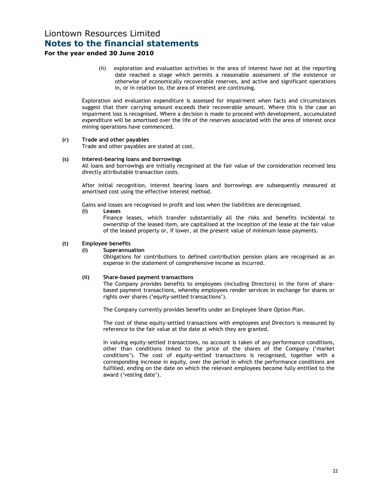### For the year ended 30 June 2010

(ii) exploration and evaluation activities in the area of interest have not at the reporting date reached a stage which permits a reasonable assessment of the existence or otherwise of economically recoverable reserves, and active and significant operations in, or in relation to, the area of interest are continuing.

Exploration and evaluation expenditure is assessed for impairment when facts and circumstances suggest that their carrying amount exceeds their recoverable amount. Where this is the case an impairment loss is recognised. Where a decision is made to proceed with development, accumulated expenditure will be amortised over the life of the reserves associated with the area of interest once mining operations have commenced.

#### (r) Trade and other payables

Trade and other payables are stated at cost.

#### (s) Interest-bearing loans and borrowings

All loans and borrowings are initially recognised at the fair value of the consideration received less directly attributable transaction costs.

After initial recognition, interest bearing loans and borrowings are subsequently measured at amortised cost using the effective interest method.

Gains and losses are recognised in profit and loss when the liabilities are derecognised.

#### (i) Leases

Finance leases, which transfer substantially all the risks and benefits incidental to ownership of the leased item, are capitalised at the inception of the lease at the fair value of the leased property or, if lower, at the present value of minimum lease payments.

#### (t) Employee benefits

#### (i) Superannuation

Obligations for contributions to defined contribution pension plans are recognised as an expense in the statement of comprehensive income as incurred.

#### (ii) Share-based payment transactions

The Company provides benefits to employees (including Directors) in the form of sharebased payment transactions, whereby employees render services in exchange for shares or rights over shares ('equity-settled transactions').

The Company currently provides benefits under an Employee Share Option Plan.

The cost of these equity-settled transactions with employees and Directors is measured by reference to the fair value at the date at which they are granted.

In valuing equity-settled transactions, no account is taken of any performance conditions, other than conditions linked to the price of the shares of the Company ('market conditions'). The cost of equity-settled transactions is recognised, together with a corresponding increase in equity, over the period in which the performance conditions are fulfilled, ending on the date on which the relevant employees become fully entitled to the award ('vesting date').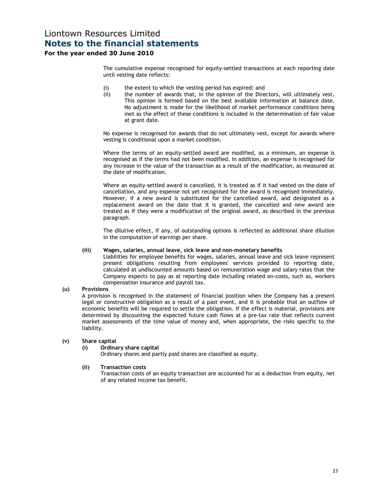### For the year ended 30 June 2010

The cumulative expense recognised for equity-settled transactions at each reporting date until vesting date reflects:

- (i) the extent to which the vesting period has expired; and
- (ii) the number of awards that, in the opinion of the Directors, will ultimately vest. This opinion is formed based on the best available information at balance date. No adjustment is made for the likelihood of market performance conditions being met as the effect of these conditions is included in the determination of fair value at grant date.

No expense is recognised for awards that do not ultimately vest, except for awards where vesting is conditional upon a market condition.

Where the terms of an equity-settled award are modified, as a minimum, an expense is recognised as if the terms had not been modified. In addition, an expense is recognised for any increase in the value of the transaction as a result of the modification, as measured at the date of modification.

Where an equity-settled award is cancelled, it is treated as if it had vested on the date of cancellation, and any expense not yet recognised for the award is recognised immediately. However, if a new award is substituted for the cancelled award, and designated as a replacement award on the date that it is granted, the cancelled and new award are treated as if they were a modification of the original award, as described in the previous paragraph.

The dilutive effect, if any, of outstanding options is reflected as additional share dilution in the computation of earnings per share.

#### (iii) Wages, salaries, annual leave, sick leave and non-monetary benefits

Liabilities for employee benefits for wages, salaries, annual leave and sick leave represent present obligations resulting from employees' services provided to reporting date, calculated at undiscounted amounts based on remuneration wage and salary rates that the Company expects to pay as at reporting date including related on-costs, such as, workers compensation insurance and payroll tax.

#### (u) Provisions

A provision is recognised in the statement of financial position when the Company has a present legal or constructive obligation as a result of a past event, and it is probable that an outflow of economic benefits will be required to settle the obligation. If the effect is material, provisions are determined by discounting the expected future cash flows at a pre-tax rate that reflects current market assessments of the time value of money and, when appropriate, the risks specific to the liability.

#### (v) Share capital

#### (i) Ordinary share capital

Ordinary shares and partly paid shares are classified as equity.

#### (ii) Transaction costs

 Transaction costs of an equity transaction are accounted for as a deduction from equity, net of any related income tax benefit.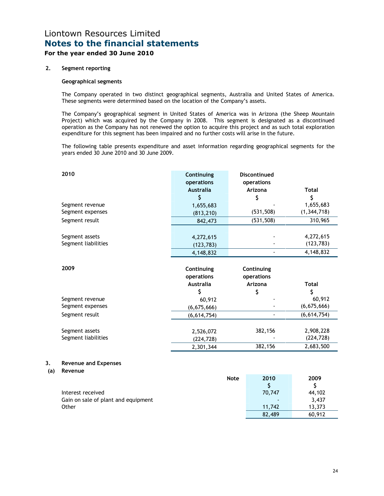### For the year ended 30 June 2010

### 2. Segment reporting

### Geographical segments

The Company operated in two distinct geographical segments, Australia and United States of America. These segments were determined based on the location of the Company's assets.

The Company's geographical segment in United States of America was in Arizona (the Sheep Mountain Project) which was acquired by the Company in 2008. This segment is designated as a discontinued operation as the Company has not renewed the option to acquire this project and as such total exploration expenditure for this segment has been impaired and no further costs will arise in the future.

The following table presents expenditure and asset information regarding geographical segments for the years ended 30 June 2010 and 30 June 2009.

|           | 2010                                   | Continuing<br>operations<br><b>Australia</b><br>\$ | <b>Discontinued</b><br>operations<br>Arizona<br>\$ | <b>Total</b><br>\$                   |
|-----------|----------------------------------------|----------------------------------------------------|----------------------------------------------------|--------------------------------------|
|           | Segment revenue                        | 1,655,683                                          |                                                    | 1,655,683                            |
|           | Segment expenses                       | (813, 210)                                         | (531, 508)                                         | (1, 344, 718)                        |
|           | Segment result                         | 842,473                                            | (531, 508)                                         | 310,965                              |
|           | Segment assets<br>Segment liabilities  | 4,272,615<br>(123, 783)<br>4,148,832               |                                                    | 4,272,615<br>(123, 783)<br>4,148,832 |
|           | 2009                                   | Continuing<br>operations<br><b>Australia</b><br>\$ | Continuing<br>operations<br>Arizona<br>\$          | <b>Total</b><br>\$                   |
|           | Segment revenue                        | 60,912                                             |                                                    | 60,912                               |
|           | Segment expenses                       | (6, 675, 666)                                      |                                                    | (6, 675, 666)                        |
|           | Segment result                         | (6, 614, 754)                                      |                                                    | (6, 614, 754)                        |
|           | Segment assets<br>Segment liabilities  | 2,526,072<br>(224, 728)<br>2,301,344               | 382,156<br>382,156                                 | 2,908,228<br>(224, 728)<br>2,683,500 |
| 3.<br>(a) | <b>Revenue and Expenses</b><br>Revenue |                                                    | $2040$                                             |                                      |
|           |                                        |                                                    | $\mathbf{h}$ $\mathbf{h}$ $\mathbf{h}$             | <b>2000</b>                          |

| <b>Note</b>                         | 2010           | 2009   |
|-------------------------------------|----------------|--------|
|                                     |                |        |
| Interest received                   | 70,747         | 44,102 |
| Gain on sale of plant and equipment | $\blacksquare$ | 3,437  |
| Other                               | 11.742         | 13.373 |
|                                     | 82,489         | 60,912 |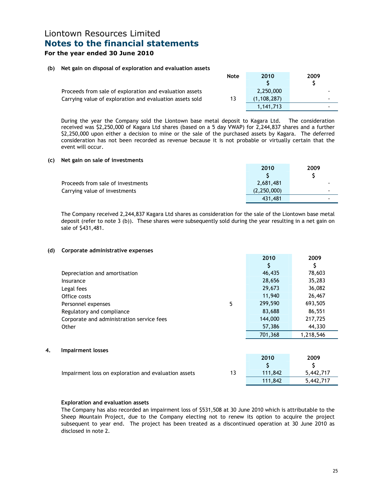### For the year ended 30 June 2010

### (b) Net gain on disposal of exploration and evaluation assets

|                                                          | <b>Note</b> | 2010        | 2009 |
|----------------------------------------------------------|-------------|-------------|------|
|                                                          |             |             |      |
| Proceeds from sale of exploration and evaluation assets  |             | 2.250,000   |      |
| Carrying value of exploration and evaluation assets sold | 13          | (1.108.287) |      |
|                                                          |             | 1.141.713   |      |

During the year the Company sold the Liontown base metal deposit to Kagara Ltd. The consideration received was \$2,250,000 of Kagara Ltd shares (based on a 5 day VWAP) for 2,244,837 shares and a further \$2,250,000 upon either a decision to mine or the sale of the purchased assets by Kagara. The deferred consideration has not been recorded as revenue because it is not probable or virtually certain that the event will occur.

#### (c) Net gain on sale of investments

|                                   | 2010          | 2009 |
|-----------------------------------|---------------|------|
|                                   |               |      |
| Proceeds from sale of investments | 2.681.481     |      |
| Carrying value of investments     | (2, 250, 000) |      |
|                                   | 431,481       |      |

The Company received 2,244,837 Kagara Ltd shares as consideration for the sale of the Liontown base metal deposit (refer to note 3 (b)). These shares were subsequently sold during the year resulting in a net gain on sale of \$431,481.

#### (d) Corporate administrative expenses

|    |                                                      |    | 2010    | 2009      |
|----|------------------------------------------------------|----|---------|-----------|
|    |                                                      |    | S       | \$        |
|    | Depreciation and amortisation                        |    | 46,435  | 78,603    |
|    | Insurance                                            |    | 28,656  | 35,283    |
|    | Legal fees                                           |    | 29,673  | 36,082    |
|    | Office costs                                         |    | 11,940  | 26,467    |
|    | Personnel expenses                                   | 5  | 299,590 | 693,505   |
|    | Regulatory and compliance                            |    | 83,688  | 86,551    |
|    | Corporate and administration service fees            |    | 144,000 | 217,725   |
|    | Other                                                |    | 57,386  | 44,330    |
|    |                                                      |    | 701,368 | 1,218,546 |
| 4. | <b>Impairment losses</b>                             |    |         |           |
|    |                                                      |    | 2010    | 2009      |
|    |                                                      |    | \$      | \$        |
|    | Impairment loss on exploration and evaluation assets | 13 | 111,842 | 5,442,717 |
|    |                                                      |    | 111,842 | 5,442,717 |

#### Exploration and evaluation assets

The Company has also recorded an impairment loss of \$531,508 at 30 June 2010 which is attributable to the Sheep Mountain Project, due to the Company electing not to renew its option to acquire the project subsequent to year end. The project has been treated as a discontinued operation at 30 June 2010 as disclosed in note 2.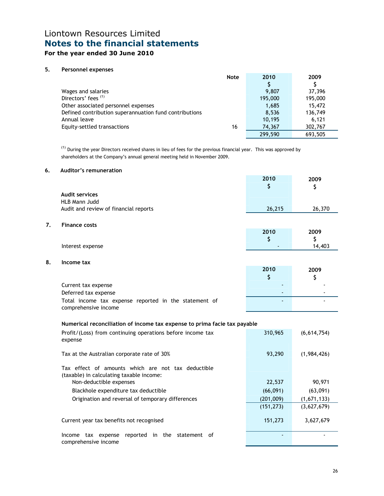## For the year ended 30 June 2010

### 5. Personnel expenses

| <b>Note</b>                                            | 2010    | 2009    |
|--------------------------------------------------------|---------|---------|
|                                                        |         |         |
| Wages and salaries                                     | 9.807   | 37,396  |
| Directors' fees <sup>(1)</sup>                         | 195,000 | 195,000 |
| Other associated personnel expenses                    | 1,685   | 15,472  |
| Defined contribution superannuation fund contributions | 8,536   | 136,749 |
| Annual leave                                           | 10.195  | 6.121   |
| Equity-settled transactions<br>16                      | 74,367  | 302,767 |
|                                                        | 299,590 | 693.505 |

 $<sup>(1)</sup>$  During the year Directors received shares in lieu of fees for the previous financial year. This was approved by</sup> shareholders at the Company's annual general meeting held in November 2009.

#### 6. Auditor's remuneration

|                                       | 2010   | 2009   |
|---------------------------------------|--------|--------|
|                                       |        |        |
| <b>Audit services</b>                 |        |        |
| HLB Mann Judd                         |        |        |
| Audit and review of financial reports | 26,215 | 26,370 |
|                                       |        |        |

7. Finance costs

|                  | 2010 | 2009   |
|------------------|------|--------|
|                  |      | -      |
| Interest expense | . .  | 14,403 |

8. Income tax

|                                                                               | 2010 | 2009 |
|-------------------------------------------------------------------------------|------|------|
|                                                                               |      |      |
| Current tax expense                                                           |      |      |
| Deferred tax expense                                                          | -    |      |
| Total income tax expense reported in the statement of<br>comprehensive income |      |      |

#### Numerical reconciliation of income tax expense to prima facie tax payable

| Profit/(Loss) from continuing operations before income tax<br>expense                          | 310,965    | (6,614,754) |
|------------------------------------------------------------------------------------------------|------------|-------------|
| Tax at the Australian corporate rate of 30%                                                    | 93,290     | (1,984,426) |
| Tax effect of amounts which are not tax deductible<br>(taxable) in calculating taxable income: |            |             |
| Non-deductible expenses                                                                        | 22,537     | 90,971      |
| Blackhole expenditure tax deductible                                                           | (66,091)   | (63,091)    |
| Origination and reversal of temporary differences                                              | (201,009)  | (1,671,133) |
|                                                                                                | (151, 273) | (3,627,679) |
| Current year tax benefits not recognised                                                       | 151,273    | 3,627,679   |
| reported<br>in the<br>statement of<br>tax expense<br>Income<br>comprehensive income            |            |             |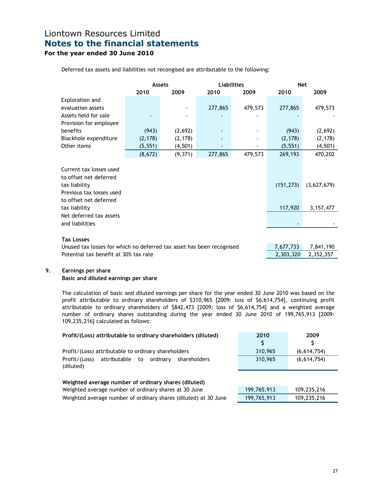## For the year ended 30 June 2010

|                                                                                                                                                                                         | <b>Assets</b> |          | <b>Liabilities</b> |           | <b>Net</b>            |                            |
|-----------------------------------------------------------------------------------------------------------------------------------------------------------------------------------------|---------------|----------|--------------------|-----------|-----------------------|----------------------------|
|                                                                                                                                                                                         | 2010          | 2009     | 2010               | 2009      | 2010                  | 2009                       |
| Exploration and                                                                                                                                                                         |               |          |                    |           |                       |                            |
| evaluation assets                                                                                                                                                                       |               |          | 277,865            | 479,573   | 277,865               | 479,573                    |
| Assets held for sale                                                                                                                                                                    |               |          |                    |           |                       |                            |
| Provision for employee                                                                                                                                                                  |               |          |                    |           |                       |                            |
| benefits                                                                                                                                                                                | (943)         | (2,692)  |                    |           | (943)                 | (2,692)                    |
| Blackhole expenditure                                                                                                                                                                   | (2, 178)      | (2, 178) |                    |           | (2, 178)              | (2, 178)                   |
| Other items                                                                                                                                                                             | (5, 551)      | (4, 501) |                    |           | (5, 551)              | (4,501)                    |
|                                                                                                                                                                                         | (8,672)       | (9,371)  | 277,865            | 479,573   | 269,193               | 470,202                    |
| Current tax losses used<br>to offset net deferred<br>tax liability<br>Previous tax losses used<br>to offset net deferred<br>tax liability<br>Net deferred tax assets<br>and liabilities |               |          |                    |           | (151, 273)<br>117,920 | (3,627,679)<br>3, 157, 477 |
|                                                                                                                                                                                         |               |          |                    |           |                       |                            |
| <b>Tax Losses</b>                                                                                                                                                                       |               |          |                    |           |                       |                            |
| Unused tax losses for which no deferred tax asset has been recognised                                                                                                                   |               |          | 7,677,733          | 7,841,190 |                       |                            |
| Potential tax benefit at 30% tax rate                                                                                                                                                   |               |          |                    |           | 2,303,320             | 2,352,357                  |

### 9. Earnings per share

### Basic and diluted earnings per share

The calculation of basic and diluted earnings per share for the year ended 30 June 2010 was based on the profit attributable to ordinary shareholders of \$310,965 [2009: loss of \$6,614,754], continuing profit attributable to ordinary shareholders of \$842,473 [2009: loss of \$6,614,754] and a weighted average number of ordinary shares outstanding during the year ended 30 June 2010 of 199,765,913 [2009: 109,235,216] calculated as follows:

| Profit/(Loss) attributable to ordinary shareholders (diluted)   | 2010        | 2009        |  |
|-----------------------------------------------------------------|-------------|-------------|--|
|                                                                 | \$          | S           |  |
| Profit/(Loss) attributable to ordinary shareholders             | 310,965     | (6,614,754) |  |
| attributable<br>Profit/(Loss)<br>to<br>ordinarv<br>shareholders | 310,965     | (6,614,754) |  |
| (diluted)                                                       |             |             |  |
|                                                                 |             |             |  |
| Weighted average number of ordinary shares (diluted)            |             |             |  |
| Weighted average number of ordinary shares at 30 June           | 199,765,913 | 109,235,216 |  |
| Weighted average number of ordinary shares (diluted) at 30 June | 199,765,913 | 109,235,216 |  |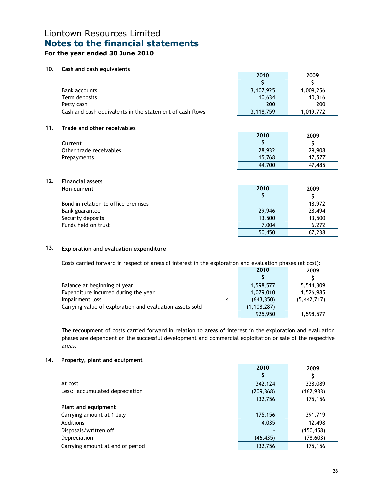## For the year ended 30 June 2010

### 10. Cash and cash equivalents

|     |                                                          | 2010      | 2009      |
|-----|----------------------------------------------------------|-----------|-----------|
|     |                                                          | \$        | \$        |
|     | <b>Bank accounts</b>                                     | 3,107,925 | 1,009,256 |
|     | Term deposits                                            | 10,634    | 10,316    |
|     | Petty cash                                               | 200       | 200       |
|     | Cash and cash equivalents in the statement of cash flows | 3,118,759 | 1,019,772 |
| 11. | Trade and other receivables                              |           |           |
|     |                                                          | 2010      | 2009      |
|     | Current                                                  | S         | \$        |
|     | Other trade receivables                                  | 28,932    | 29,908    |
|     | Prepayments                                              | 15,768    | 17,577    |
|     |                                                          | 44,700    | 47,485    |
| 12. | <b>Financial assets</b>                                  |           |           |
|     | Non-current                                              | 2010      | 2009      |
|     |                                                          | S         | \$        |
|     | Bond in relation to office premises                      |           | 18,972    |
|     | Bank guarantee                                           | 29,946    | 28,494    |
|     | Security deposits                                        | 13,500    | 13,500    |
|     | Funds held on trust                                      | 7,004     | 6,272     |
|     |                                                          | 50,450    | 67,238    |
|     |                                                          |           |           |

### 13. Exploration and evaluation expenditure

| Costs carried forward in respect of areas of interest in the exploration and evaluation phases (at cost): |   |               |               |
|-----------------------------------------------------------------------------------------------------------|---|---------------|---------------|
|                                                                                                           |   | 2010          | 2009          |
|                                                                                                           |   |               |               |
| Balance at beginning of year                                                                              |   | 1,598,577     | 5,514,309     |
| Expenditure incurred during the year                                                                      |   | 1,079,010     | 1,526,985     |
| Impairment loss                                                                                           | 4 | (643, 350)    | (5, 442, 717) |
| Carrying value of exploration and evaluation assets sold                                                  |   | (1, 108, 287) |               |
|                                                                                                           |   | 925,950       | 1,598,577     |

The recoupment of costs carried forward in relation to areas of interest in the exploration and evaluation phases are dependent on the successful development and commercial exploitation or sale of the respective areas.

#### 14. Property, plant and equipment

|                                  | 2010       | 2009       |
|----------------------------------|------------|------------|
|                                  |            |            |
| At cost                          | 342,124    | 338,089    |
| Less: accumulated depreciation   | (209, 368) | (162,933)  |
|                                  | 132,756    | 175,156    |
| Plant and equipment              |            |            |
| Carrying amount at 1 July        | 175,156    | 391,719    |
| Additions                        | 4,035      | 12,498     |
| Disposals/written off            |            | (150, 458) |
| Depreciation                     | (46, 435)  | (78, 603)  |
| Carrying amount at end of period | 132,756    | 175,156    |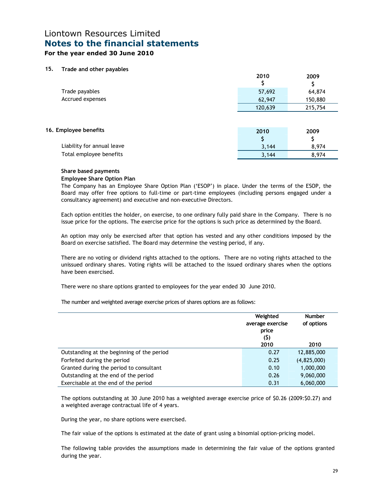### For the year ended 30 June 2010

#### 15. Trade and other payables

|                                                       | 2010    | 2009    |
|-------------------------------------------------------|---------|---------|
| Trade payables                                        | 57,692  | 64,874  |
| Accrued expenses                                      | 62,947  | 150,880 |
|                                                       | 120,639 | 215,754 |
|                                                       |         |         |
| 16. Employee benefits                                 | 2010    | 2009    |
|                                                       |         | Ş       |
|                                                       |         |         |
| Liability for annual leave<br>Total employee benefits | 3,144   | 8,974   |

#### Share based payments

#### Employee Share Option Plan

The Company has an Employee Share Option Plan ('ESOP') in place. Under the terms of the ESOP, the Board may offer free options to full-time or part-time employees (including persons engaged under a consultancy agreement) and executive and non-executive Directors.

Each option entitles the holder, on exercise, to one ordinary fully paid share in the Company. There is no issue price for the options. The exercise price for the options is such price as determined by the Board.

An option may only be exercised after that option has vested and any other conditions imposed by the Board on exercise satisfied. The Board may determine the vesting period, if any.

There are no voting or dividend rights attached to the options. There are no voting rights attached to the unissued ordinary shares. Voting rights will be attached to the issued ordinary shares when the options have been exercised.

There were no share options granted to employees for the year ended 30 June 2010.

The number and weighted average exercise prices of shares options are as follows:

|                                            | Weighted<br>average exercise<br>price<br>(5)<br>2010 | <b>Number</b><br>of options<br>2010 |
|--------------------------------------------|------------------------------------------------------|-------------------------------------|
| Outstanding at the beginning of the period | 0.27                                                 | 12,885,000                          |
| Forfeited during the period                | 0.25                                                 | (4,825,000)                         |
| Granted during the period to consultant    | 0.10                                                 | 1,000,000                           |
| Outstanding at the end of the period       | 0.26                                                 | 9,060,000                           |
| Exercisable at the end of the period       | 0.31                                                 | 6,060,000                           |

The options outstanding at 30 June 2010 has a weighted average exercise price of \$0.26 (2009:\$0.27) and a weighted average contractual life of 4 years.

During the year, no share options were exercised.

The fair value of the options is estimated at the date of grant using a binomial option-pricing model.

The following table provides the assumptions made in determining the fair value of the options granted during the year.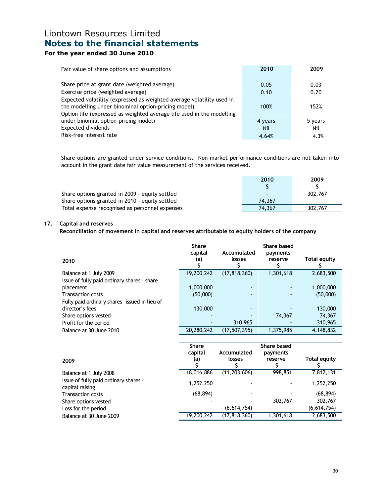## For the year ended 30 June 2010

| Fair value of share options and assumptions                           | 2010       | 2009    |
|-----------------------------------------------------------------------|------------|---------|
|                                                                       |            |         |
| Share price at grant date (weighted average)                          | 0.05       | 0.03    |
| Exercise price (weighted average)                                     | 0.10       | 0.20    |
| Expected volatility (expressed as weighted average volatility used in |            |         |
| the modelling under binominal option-pricing model)                   | 100%       | 152%    |
| Option life (expressed as weighted average life used in the modelling |            |         |
| under binomial option-pricing model)                                  | 4 years    | 5 years |
| Expected dividends                                                    | <b>Nil</b> | Nil     |
| Risk-free interest rate                                               | 4.64%      | 4.3%    |

Share options are granted under service conditions. Non-market performance conditions are not taken into account in the grant date fair value measurement of the services received.

|                                                | 2010   | 2009    |
|------------------------------------------------|--------|---------|
|                                                |        |         |
| Share options granted in 2009 - equity settled |        | 302,767 |
| Share options granted in 2010 - equity settled | 74.367 |         |
| Total expense recognised as personnel expenses | 74.367 | 302,767 |

### 17. Capital and reserves

Reconciliation of movement in capital and reserves attributable to equity holders of the company

| 2010                                          | <b>Share</b><br>capital<br>(a) | Accumulated<br>losses | Share based<br>payments<br>reserve | <b>Total equity</b> |
|-----------------------------------------------|--------------------------------|-----------------------|------------------------------------|---------------------|
| Balance at 1 July 2009                        | 19,200,242                     | (17, 818, 360)        | 1,301,618                          | 2,683,500           |
| Issue of fully paid ordinary shares - share   |                                |                       |                                    |                     |
| placement                                     | 1,000,000                      |                       |                                    | 1,000,000           |
| <b>Transaction costs</b>                      | (50,000)                       | ٠                     | ۰                                  | (50,000)            |
| Fully paid ordinary shares -issued in lieu of |                                |                       |                                    |                     |
| director's fees                               | 130,000                        |                       |                                    | 130,000             |
| Share options vested                          |                                |                       | 74,367                             | 74,367              |
| Profit for the period                         |                                | 310,965               |                                    | 310,965             |
| Balance at 30 June 2010                       | 20,280,242                     | (17, 507, 395)        | 1,375,985                          | 4,148,832           |

| 2009                                                     | <b>Share</b><br>capital<br>(a) | Accumulated<br>losses    | Share based<br>payments<br>reserve | <b>Total equity</b> |
|----------------------------------------------------------|--------------------------------|--------------------------|------------------------------------|---------------------|
| Balance at 1 July 2008                                   | 18,016,886                     | (11, 203, 606)           | 998,851                            | 7,812,131           |
| Issue of fully paid ordinary shares -<br>capital raising | 1,252,250                      | $\overline{\phantom{a}}$ |                                    | 1,252,250           |
| <b>Transaction costs</b>                                 | (68, 894)                      | $\overline{\phantom{a}}$ |                                    | (68, 894)           |
| Share options vested                                     |                                |                          | 302,767                            | 302,767             |
| Loss for the period                                      |                                | (6,614,754)              |                                    | (6,614,754)         |
| Balance at 30 June 2009                                  | 19,200,242                     | (17, 818, 360)           | 1,301,618                          | 2,683,500           |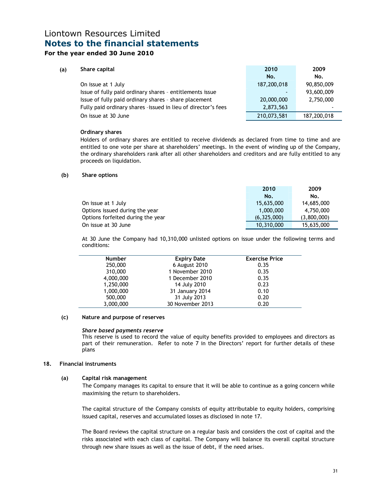### For the year ended 30 June 2010

| (a) | Share capital                                                 | 2010        | 2009        |
|-----|---------------------------------------------------------------|-------------|-------------|
|     |                                                               | No.         | No.         |
|     | On issue at 1 July                                            | 187,200,018 | 90,850,009  |
|     | Issue of fully paid ordinary shares - entitlements issue      |             | 93,600,009  |
|     | Issue of fully paid ordinary shares - share placement         | 20,000,000  | 2,750,000   |
|     | Fully paid ordinary shares -issued in lieu of director's fees | 2,873,563   |             |
|     | On issue at 30 June                                           | 210,073,581 | 187,200,018 |

#### Ordinary shares

 Holders of ordinary shares are entitled to receive dividends as declared from time to time and are entitled to one vote per share at shareholders' meetings. In the event of winding up of the Company, the ordinary shareholders rank after all other shareholders and creditors and are fully entitled to any proceeds on liquidation.

#### (b) Share options

|                                   | 2010        | 2009        |
|-----------------------------------|-------------|-------------|
|                                   | No.         | No.         |
| On issue at 1 July                | 15,635,000  | 14,685,000  |
| Options issued during the year    | 1.000.000   | 4,750,000   |
| Options forfeited during the year | (6,325,000) | (3,800,000) |
| On issue at 30 June               | 10,310,000  | 15,635,000  |

At 30 June the Company had 10,310,000 unlisted options on issue under the following terms and conditions:

| <b>Number</b> | <b>Expiry Date</b> | <b>Exercise Price</b> |
|---------------|--------------------|-----------------------|
| 250,000       | 6 August 2010      | 0.35                  |
| 310,000       | 1 November 2010    | 0.35                  |
| 4,000,000     | 1 December 2010    | 0.35                  |
| 1,250,000     | 14 July 2010       | 0.23                  |
| 1,000,000     | 31 January 2014    | 0.10                  |
| 500,000       | 31 July 2013       | 0.20                  |
| 3,000,000     | 30 November 2013   | 0.20                  |

#### (c) Nature and purpose of reserves

#### Share based payments reserve

This reserve is used to record the value of equity benefits provided to employees and directors as part of their remuneration. Refer to note 7 in the Directors' report for further details of these plans

#### 18. Financial instruments

### (a) Capital risk management

 The Company manages its capital to ensure that it will be able to continue as a going concern while maximising the return to shareholders.

The capital structure of the Company consists of equity attributable to equity holders, comprising issued capital, reserves and accumulated losses as disclosed in note 17.

The Board reviews the capital structure on a regular basis and considers the cost of capital and the risks associated with each class of capital. The Company will balance its overall capital structure through new share issues as well as the issue of debt, if the need arises.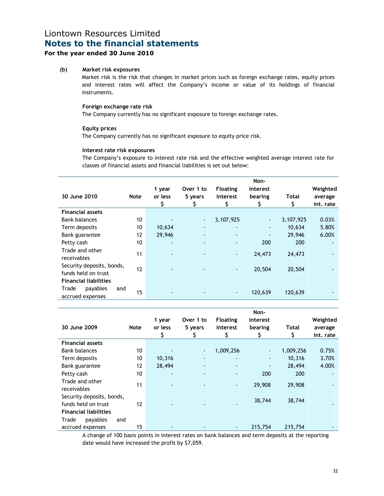### For the year ended 30 June 2010

### (b) Market risk exposures

 Market risk is the risk that changes in market prices such as foreign exchange rates, equity prices and interest rates will affect the Company's income or value of its holdings of financial instruments.

### Foreign exchange rate risk

The Company currently has no significant exposure to foreign exchange rates.

#### Equity prices

The Company currently has no significant exposure to equity price risk.

#### Interest rate risk exposures

 The Company's exposure to interest rate risk and the effective weighted average interest rate for classes of financial assets and financial liabilities is set out below:

| 30 June 2010                                     | Note | 1 year<br>or less<br>\$ | Over 1 to<br>5 years<br>\$ | <b>Floating</b><br>interest<br>\$ | Non-<br>interest<br>bearing<br>\$ | Total<br>\$ | Weighted<br>average<br>int. rate |
|--------------------------------------------------|------|-------------------------|----------------------------|-----------------------------------|-----------------------------------|-------------|----------------------------------|
| <b>Financial assets</b>                          |      |                         |                            |                                   |                                   |             |                                  |
| <b>Bank balances</b>                             | 10   |                         | $\blacksquare$             | 3,107,925                         | $\blacksquare$                    | 3,107,925   | 0.03%                            |
| Term deposits                                    | 10   | 10,634                  | $\overline{\phantom{a}}$   | ۰                                 | ٠                                 | 10,634      | 5.80%                            |
| Bank guarantee                                   | 12   | 29,946                  |                            | $\blacksquare$                    | ٠                                 | 29.946      | 6.00%                            |
| Petty cash                                       | 10   |                         |                            | ٠                                 | 200                               | 200         |                                  |
| Trade and other<br>receivables                   | 11   |                         |                            | $\blacksquare$                    | 24,473                            | 24,473      |                                  |
| Security deposits, bonds,<br>funds held on trust | 12   |                         |                            | $\blacksquare$                    | 20,504                            | 20,504      |                                  |
| <b>Financial liabilities</b>                     |      |                         |                            |                                   |                                   |             |                                  |
| Trade<br>payables<br>and<br>accrued expenses     | 15   |                         |                            | $\blacksquare$                    | 120,639                           | 120,639     |                                  |

|                              |                   |         |                          |                          | Non-     |           |           |
|------------------------------|-------------------|---------|--------------------------|--------------------------|----------|-----------|-----------|
|                              |                   | 1 year  | Over 1 to                | <b>Floating</b>          | interest |           | Weighted  |
| 30 June 2009                 | <b>Note</b>       | or less | 5 years                  | interest                 | bearing  | Total     | average   |
|                              |                   |         |                          | S                        | S        | S         | int. rate |
| <b>Financial assets</b>      |                   |         |                          |                          |          |           |           |
| <b>Bank balances</b>         | 10                |         | $\blacksquare$           | 1,009,256                |          | 1,009,256 | 0.75%     |
| Term deposits                | 10                | 10,316  | $\overline{\phantom{a}}$ |                          | ٠        | 10,316    | 3.70%     |
| Bank guarantee               | $12 \overline{ }$ | 28,494  | $\overline{\phantom{a}}$ | $\overline{\phantom{a}}$ | ٠        | 28,494    | 4.00%     |
| Petty cash                   | 10                | ٠       | ٠                        |                          | 200      | 200       |           |
| Trade and other              | 11                | ٠       | $\blacksquare$           | $\blacksquare$           | 29,908   | 29,908    |           |
| receivables                  |                   |         |                          |                          |          |           |           |
| Security deposits, bonds,    |                   |         |                          |                          | 38,744   | 38,744    |           |
| funds held on trust          | $12 \overline{ }$ |         |                          |                          |          |           |           |
| <b>Financial liabilities</b> |                   |         |                          |                          |          |           |           |
| Trade<br>payables<br>and     |                   |         |                          |                          |          |           |           |
| accrued expenses             | 15                |         |                          | $\overline{\phantom{a}}$ | 215,754  | 215,754   |           |

A change of 100 basis points in interest rates on bank balances and term deposits at the reporting date would have increased the profit by \$7,059.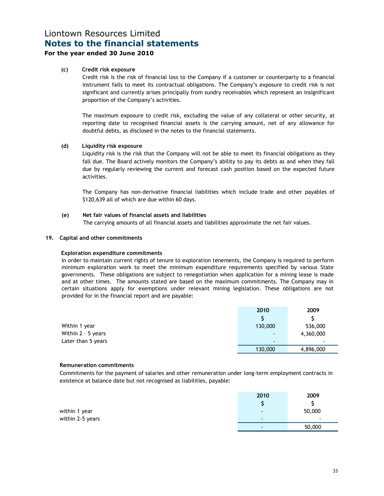### For the year ended 30 June 2010

### (c) Credit risk exposure

 Credit risk is the risk of financial loss to the Company if a customer or counterparty to a financial instrument fails to meet its contractual obligations. The Company's exposure to credit risk is not significant and currently arises principally from sundry receivables which represent an insignificant proportion of the Company's activities.

The maximum exposure to credit risk, excluding the value of any collateral or other security, at reporting date to recognised financial assets is the carrying amount, net of any allowance for doubtful debts, as disclosed in the notes to the financial statements.

#### (d) Liquidity risk exposure

 Liquidity risk is the risk that the Company will not be able to meet its financial obligations as they fall due. The Board actively monitors the Company's ability to pay its debts as and when they fall due by regularly reviewing the current and forecast cash position based on the expected future activities.

The Company has non-derivative financial liabilities which include trade and other payables of \$120,639 all of which are due within 60 days.

#### (e) Net fair values of financial assets and liabilities

The carrying amounts of all financial assets and liabilities approximate the net fair values.

#### 19. Capital and other commitments

### Exploration expenditure commitments

In order to maintain current rights of tenure to exploration tenements, the Company is required to perform minimum exploration work to meet the minimum expenditure requirements specified by various State governments. These obligations are subject to renegotiation when application for a mining lease is made and at other times. The amounts stated are based on the maximum commitments. The Company may in certain situations apply for exemptions under relevant mining legislation. These obligations are not provided for in the financial report and are payable:

|                    | 2010                     | 2009                     |
|--------------------|--------------------------|--------------------------|
|                    |                          |                          |
| Within 1 year      | 130,000                  | 536,000                  |
| Within 2 - 5 years | $\overline{\phantom{a}}$ | 4,360,000                |
| Later than 5 years | $\overline{\phantom{a}}$ | $\overline{\phantom{a}}$ |
|                    | 130,000                  | 4,896,000                |

#### Remuneration commitments

Commitments for the payment of salaries and other remuneration under long-term employment contracts in existence at balance date but not recognised as liabilities, payable:

|                  | 2010 | 2009   |
|------------------|------|--------|
|                  |      |        |
| within 1 year    | $\,$ | 50,000 |
| within 2-5 years |      | $\sim$ |
|                  |      | 50,000 |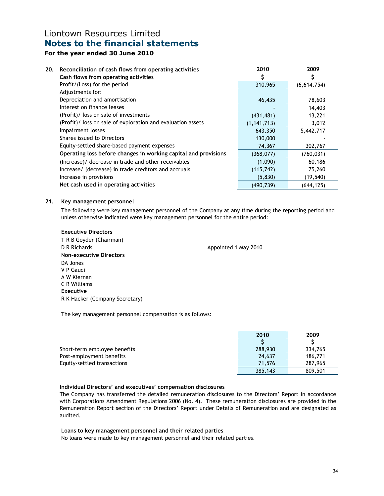### For the year ended 30 June 2010

| 20. | Reconciliation of cash flows from operating activities          | 2010          | 2009        |
|-----|-----------------------------------------------------------------|---------------|-------------|
|     | Cash flows from operating activities                            |               | Ş           |
|     | Profit/(Loss) for the period                                    | 310,965       | (6,614,754) |
|     | Adjustments for:                                                |               |             |
|     | Depreciation and amortisation                                   | 46,435        | 78,603      |
|     | Interest on finance leases                                      |               | 14,403      |
|     | (Profit)/ loss on sale of investments                           | (431, 481)    | 13,221      |
|     | (Profit)/ loss on sale of exploration and evaluation assets     | (1, 141, 713) | 3,012       |
|     | Impairment losses                                               | 643,350       | 5,442,717   |
|     | Shares issued to Directors                                      | 130,000       |             |
|     | Equity-settled share-based payment expenses                     | 74,367        | 302,767     |
|     | Operating loss before changes in working capital and provisions | (368,077)     | (760, 031)  |
|     | (Increase)/ decrease in trade and other receivables             | (1,090)       | 60,186      |
|     | Increase/ (decrease) in trade creditors and accruals            | (115, 742)    | 75,260      |
|     | Increase in provisions                                          | (5,830)       | (19, 540)   |
|     | Net cash used in operating activities                           | (490, 739)    | (644, 125)  |

#### 21. Key management personnel

The following were key management personnel of the Company at any time during the reporting period and unless otherwise indicated were key management personnel for the entire period:

| <b>Executive Directors</b>     |                      |
|--------------------------------|----------------------|
| T R B Goyder (Chairman)        |                      |
| D R Richards                   | Appointed 1 May 2010 |
| Non-executive Directors        |                      |
| DA Jones                       |                      |
| V P Gauci                      |                      |
| A W Kiernan                    |                      |
| C R Williams                   |                      |
| Executive                      |                      |
| R K Hacker (Company Secretary) |                      |

The key management personnel compensation is as follows:

|                              | 2010    | 2009    |
|------------------------------|---------|---------|
|                              |         |         |
| Short-term employee benefits | 288,930 | 334,765 |
| Post-employment benefits     | 24,637  | 186,771 |
| Equity-settled transactions  | 71.576  | 287,965 |
|                              | 385,143 | 809,501 |

### Individual Directors' and executives' compensation disclosures

The Company has transferred the detailed remuneration disclosures to the Directors' Report in accordance with Corporations Amendment Regulations 2006 (No. 4). These remuneration disclosures are provided in the Remuneration Report section of the Directors' Report under Details of Remuneration and are designated as audited.

### Loans to key management personnel and their related parties

No loans were made to key management personnel and their related parties.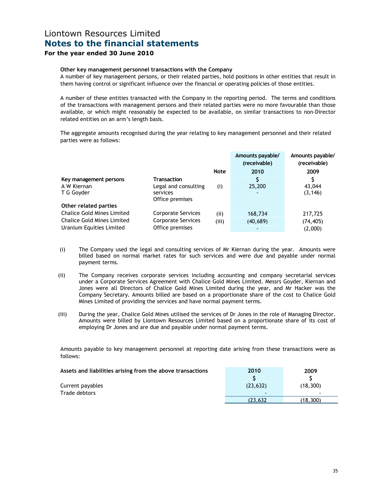### For the year ended 30 June 2010

#### Other key management personnel transactions with the Company

A number of key management persons, or their related parties, hold positions in other entities that result in them having control or significant influence over the financial or operating policies of those entities.

A number of these entities transacted with the Company in the reporting period. The terms and conditions of the transactions with management persons and their related parties were no more favourable than those available, or which might reasonably be expected to be available, on similar transactions to non-Director related entities on an arm's length basis.

The aggregate amounts recognised during the year relating to key management personnel and their related parties were as follows:

|                                                                                                    |                                                                           |              | Amounts payable/<br>(receivable) | Amounts payable/<br>(receivable) |
|----------------------------------------------------------------------------------------------------|---------------------------------------------------------------------------|--------------|----------------------------------|----------------------------------|
|                                                                                                    |                                                                           | <b>Note</b>  | 2010                             | 2009                             |
| Key management persons<br>A W Kiernan<br>T G Goyder                                                | <b>Transaction</b><br>Legal and consulting<br>services<br>Office premises | (i)          | 25,200<br>$\blacksquare$         | 43,044<br>(3, 146)               |
| Other related parties                                                                              |                                                                           |              |                                  |                                  |
| <b>Chalice Gold Mines Limited</b><br><b>Chalice Gold Mines Limited</b><br>Uranium Equities Limited | Corporate Services<br><b>Corporate Services</b><br>Office premises        | (i)<br>(iii) | 168,734<br>(40,689)              | 217,725<br>(74, 405)<br>(2,000)  |

- (i) The Company used the legal and consulting services of Mr Kiernan during the year. Amounts were billed based on normal market rates for such services and were due and payable under normal payment terms.
- (ii) The Company receives corporate services including accounting and company secretarial services under a Corporate Services Agreement with Chalice Gold Mines Limited. Messrs Goyder, Kiernan and Jones were all Directors of Chalice Gold Mines Limited during the year, and Mr Hacker was the Company Secretary. Amounts billed are based on a proportionate share of the cost to Chalice Gold Mines Limited of providing the services and have normal payment terms.
- (iii) During the year, Chalice Gold Mines utilised the services of Dr Jones in the role of Managing Director. Amounts were billed by Liontown Resources Limited based on a proportionate share of its cost of employing Dr Jones and are due and payable under normal payment terms.

Amounts payable to key management personnel at reporting date arising from these transactions were as follows:

| Assets and liabilities arising from the above transactions | 2010      | 2009      |
|------------------------------------------------------------|-----------|-----------|
|                                                            |           |           |
| Current payables                                           | (23, 632) | (18, 300) |
| Trade debtors                                              |           |           |
|                                                            | (23.632   | (18,300)  |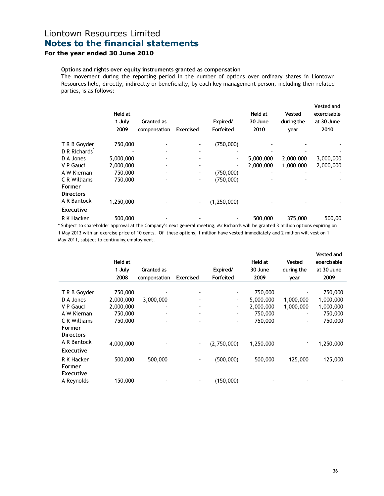### For the year ended 30 June 2010

### Options and rights over equity instruments granted as compensation

The movement during the reporting period in the number of options over ordinary shares in Liontown Resources held, directly, indirectly or beneficially, by each key management person, including their related parties, is as follows:

|                  | Held at   |              |                          |                          | Held at   | <b>Vested</b> | Vested and<br>exercisable |
|------------------|-----------|--------------|--------------------------|--------------------------|-----------|---------------|---------------------------|
|                  | 1 July    | Granted as   |                          | Expired/                 | 30 June   | during the    | at 30 June                |
|                  | 2009      | compensation | <b>Exercised</b>         | Forfeited                | 2010      | year          | 2010                      |
| T R B Goyder     | 750,000   |              | $\blacksquare$           | (750,000)                |           |               |                           |
| D R Richards     |           |              | $\overline{\phantom{a}}$ |                          |           |               |                           |
| D A Jones        | 5,000,000 |              |                          | $\overline{\phantom{0}}$ | 5,000,000 | 2,000,000     | 3,000,000                 |
| V P Gauci        | 2,000,000 |              |                          |                          | 2,000,000 | 1,000,000     | 2,000,000                 |
| A W Kiernan      | 750,000   |              | ٠                        | (750,000)                |           |               |                           |
| C R Williams     | 750,000   |              | ۰.                       | (750,000)                |           |               |                           |
| <b>Former</b>    |           |              |                          |                          |           |               |                           |
| <b>Directors</b> |           |              |                          |                          |           |               |                           |
| A R Bantock      | 1,250,000 |              | $\overline{\phantom{a}}$ | (1, 250, 000)            |           |               |                           |
| <b>Executive</b> |           |              |                          |                          |           |               |                           |
| R K Hacker       | 500,000   |              |                          |                          | 500,000   | 375,000       | 500,00                    |

approval at the Company's next general meeting, Mr Richards will be granted 3 million options expiring on 1 May 2013 with an exercise price of 10 cents. Of these options, 1 million have vested immediately and 2 million will vest on 1 May 2011, subject to continuing employment.

| <b>Vested and</b><br>exercisable<br>at 30 June<br>during the<br>2009 |
|----------------------------------------------------------------------|
|                                                                      |
|                                                                      |
| 750,000                                                              |
| 1,000,000                                                            |
| 1,000,000                                                            |
| 750,000<br>$\overline{\phantom{a}}$                                  |
| 750,000<br>٠                                                         |
|                                                                      |
|                                                                      |
| 1,250,000                                                            |
|                                                                      |
| 125,000                                                              |
|                                                                      |
|                                                                      |
|                                                                      |
| 1,000,000<br>1,000,000<br>125,000                                    |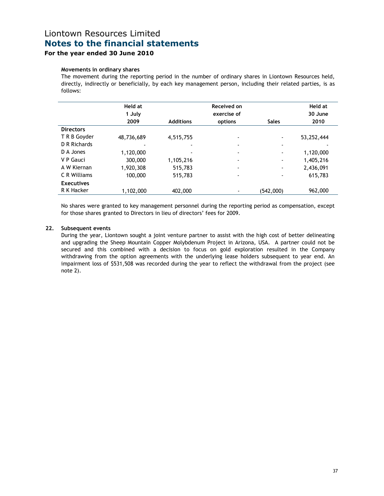### For the year ended 30 June 2010

#### Movements in ordinary shares

The movement during the reporting period in the number of ordinary shares in Liontown Resources held, directly, indirectly or beneficially, by each key management person, including their related parties, is as follows:

|                   | Held at    |                  | Received on              |                          | <b>Held at</b> |
|-------------------|------------|------------------|--------------------------|--------------------------|----------------|
|                   | 1 July     |                  | exercise of              |                          | 30 June        |
|                   | 2009       | <b>Additions</b> | options                  | <b>Sales</b>             | 2010           |
| <b>Directors</b>  |            |                  |                          |                          |                |
| T R B Goyder      | 48,736,689 | 4,515,755        |                          | ۰                        | 53,252,444     |
| D R Richards      |            |                  |                          | $\overline{\phantom{a}}$ |                |
| D A Jones         | 1,120,000  |                  |                          | $\overline{\phantom{a}}$ | 1,120,000      |
| V P Gauci         | 300,000    | 1,105,216        | $\overline{\phantom{a}}$ | $\overline{\phantom{a}}$ | 1,405,216      |
| A W Kiernan       | 1,920,308  | 515,783          | $\blacksquare$           | $\overline{\phantom{a}}$ | 2,436,091      |
| C R Williams      | 100,000    | 515,783          | $\blacksquare$           | ٠                        | 615,783        |
| <b>Executives</b> |            |                  |                          |                          |                |
| R K Hacker        | 1,102,000  | 402,000          | ۰                        | (542,000)                | 962,000        |

 No shares were granted to key management personnel during the reporting period as compensation, except for those shares granted to Directors in lieu of directors' fees for 2009.

#### 22. Subsequent events

During the year, Liontown sought a joint venture partner to assist with the high cost of better delineating and upgrading the Sheep Mountain Copper Molybdenum Project in Arizona, USA. A partner could not be secured and this combined with a decision to focus on gold exploration resulted in the Company withdrawing from the option agreements with the underlying lease holders subsequent to year end. An impairment loss of \$531,508 was recorded during the year to reflect the withdrawal from the project (see note 2).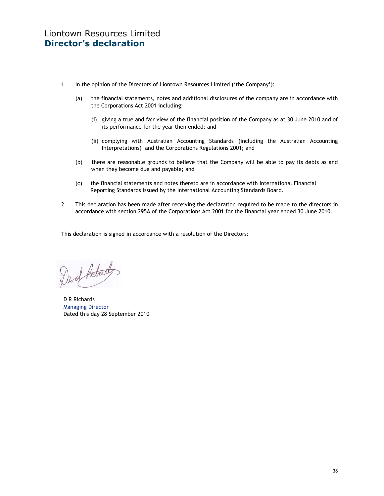- 1 In the opinion of the Directors of Liontown Resources Limited ('the Company'):
	- (a) the financial statements, notes and additional disclosures of the company are in accordance with the Corporations Act 2001 including:
		- (i) giving a true and fair view of the financial position of the Company as at 30 June 2010 and of its performance for the year then ended; and
		- (ii) complying with Australian Accounting Standards (including the Australian Accounting Interpretations) and the Corporations Regulations 2001; and
	- (b) there are reasonable grounds to believe that the Company will be able to pay its debts as and when they become due and payable; and
	- (c) the financial statements and notes thereto are in accordance with International Financial Reporting Standards issued by the International Accounting Standards Board.
- 2 This declaration has been made after receiving the declaration required to be made to the directors in accordance with section 295A of the Corporations Act 2001 for the financial year ended 30 June 2010.

This declaration is signed in accordance with a resolution of the Directors:

Dard Adred

D R Richards Managing Director Dated this day 28 September 2010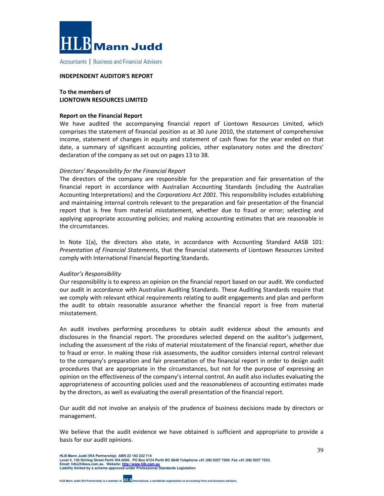

Accountants | Business and Financial Advisers

#### INDEPENDENT AUDITOR'S REPORT

### To the members of LIONTOWN RESOURCES LIMITED

#### Report on the Financial Report

We have audited the accompanying financial report of Liontown Resources Limited, which comprises the statement of financial position as at 30 June 2010, the statement of comprehensive income, statement of changes in equity and statement of cash flows for the year ended on that date, a summary of significant accounting policies, other explanatory notes and the directors' declaration of the company as set out on pages 13 to 38.

#### Directors' Responsibility for the Financial Report

The directors of the company are responsible for the preparation and fair presentation of the financial report in accordance with Australian Accounting Standards (including the Australian Accounting Interpretations) and the Corporations Act 2001. This responsibility includes establishing and maintaining internal controls relevant to the preparation and fair presentation of the financial report that is free from material misstatement, whether due to fraud or error; selecting and applying appropriate accounting policies; and making accounting estimates that are reasonable in the circumstances.

In Note 1(a), the directors also state, in accordance with Accounting Standard AASB 101: Presentation of Financial Statements, that the financial statements of Liontown Resources Limited comply with International Financial Reporting Standards.

#### Auditor's Responsibility

Our responsibility is to express an opinion on the financial report based on our audit. We conducted our audit in accordance with Australian Auditing Standards. These Auditing Standards require that we comply with relevant ethical requirements relating to audit engagements and plan and perform the audit to obtain reasonable assurance whether the financial report is free from material misstatement.

An audit involves performing procedures to obtain audit evidence about the amounts and disclosures in the financial report. The procedures selected depend on the auditor's judgement, including the assessment of the risks of material misstatement of the financial report, whether due to fraud or error. In making those risk assessments, the auditor considers internal control relevant to the company's preparation and fair presentation of the financial report in order to design audit procedures that are appropriate in the circumstances, but not for the purpose of expressing an opinion on the effectiveness of the company's internal control. An audit also includes evaluating the appropriateness of accounting policies used and the reasonableness of accounting estimates made by the directors, as well as evaluating the overall presentation of the financial report.

Our audit did not involve an analysis of the prudence of business decisions made by directors or management.

We believe that the audit evidence we have obtained is sufficient and appropriate to provide a basis for our audit opinions.

**HLB Mann Judd (WA Partnership) ABN 22 193 232 714 Level 4, 130 Stirling Street Perth WA 6000. PO Box 8124 Perth BC 6849 Telephone +61 (08) 9227 7500. Fax +61 (08) 9227 7533. Email: hlb@hlbwa.com.au. Website: http://www.hlb.com.au Liability limited by a scheme approved under Professional Standards Legislation**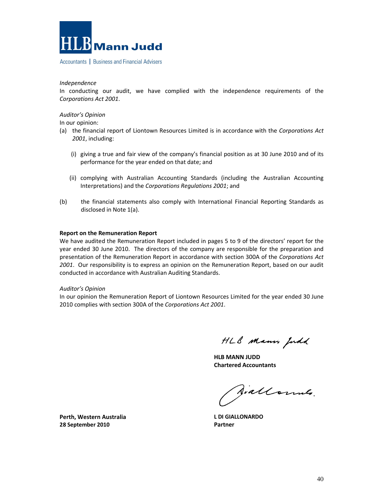

Accountants | Business and Financial Advisers

Independence

In conducting our audit, we have complied with the independence requirements of the Corporations Act 2001.

#### Auditor's Opinion

In our opinion:

- (a) the financial report of Liontown Resources Limited is in accordance with the Corporations Act 2001, including:
	- (i) giving a true and fair view of the company's financial position as at 30 June 2010 and of its performance for the year ended on that date; and
	- (ii) complying with Australian Accounting Standards (including the Australian Accounting Interpretations) and the Corporations Regulations 2001; and
- (b) the financial statements also comply with International Financial Reporting Standards as disclosed in Note 1(a).

#### Report on the Remuneration Report

We have audited the Remuneration Report included in pages 5 to 9 of the directors' report for the year ended 30 June 2010. The directors of the company are responsible for the preparation and presentation of the Remuneration Report in accordance with section 300A of the Corporations Act 2001. Our responsibility is to express an opinion on the Remuneration Report, based on our audit conducted in accordance with Australian Auditing Standards.

#### Auditor's Opinion

In our opinion the Remuneration Report of Liontown Resources Limited for the year ended 30 June 2010 complies with section 300A of the Corporations Act 2001.

HLB Mann Judd

HLB MANN JUDD Chartered Accountants

Siallonnes.

L DI GIALLONARDO Partner

Perth, Western Australia 28 September 2010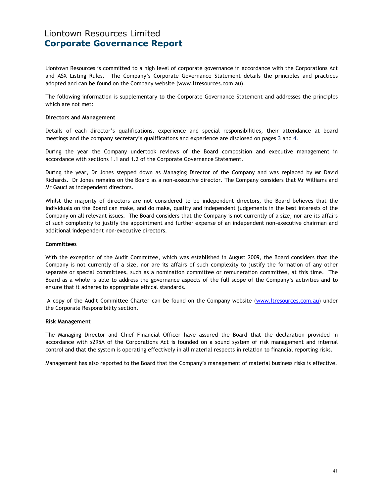## Liontown Resources Limited Corporate Governance Report

Liontown Resources is committed to a high level of corporate governance in accordance with the Corporations Act and ASX Listing Rules. The Company's Corporate Governance Statement details the principles and practices adopted and can be found on the Company website (www.ltresources.com.au).

The following information is supplementary to the Corporate Governance Statement and addresses the principles which are not met:

#### Directors and Management

Details of each director's qualifications, experience and special responsibilities, their attendance at board meetings and the company secretary's qualifications and experience are disclosed on pages 3 and 4.

During the year the Company undertook reviews of the Board composition and executive management in accordance with sections 1.1 and 1.2 of the Corporate Governance Statement.

During the year, Dr Jones stepped down as Managing Director of the Company and was replaced by Mr David Richards. Dr Jones remains on the Board as a non-executive director. The Company considers that Mr Williams and Mr Gauci as independent directors.

Whilst the majority of directors are not considered to be independent directors, the Board believes that the individuals on the Board can make, and do make, quality and independent judgements in the best interests of the Company on all relevant issues. The Board considers that the Company is not currently of a size, nor are its affairs of such complexity to justify the appointment and further expense of an independent non-executive chairman and additional independent non-executive directors.

#### **Committees**

With the exception of the Audit Committee, which was established in August 2009, the Board considers that the Company is not currently of a size, nor are its affairs of such complexity to justify the formation of any other separate or special committees, such as a nomination committee or remuneration committee, at this time. The Board as a whole is able to address the governance aspects of the full scope of the Company's activities and to ensure that it adheres to appropriate ethical standards.

 A copy of the Audit Committee Charter can be found on the Company website (www.ltresources.com.au) under the Corporate Responsibility section.

#### Risk Management

The Managing Director and Chief Financial Officer have assured the Board that the declaration provided in accordance with s295A of the Corporations Act is founded on a sound system of risk management and internal control and that the system is operating effectively in all material respects in relation to financial reporting risks.

Management has also reported to the Board that the Company's management of material business risks is effective.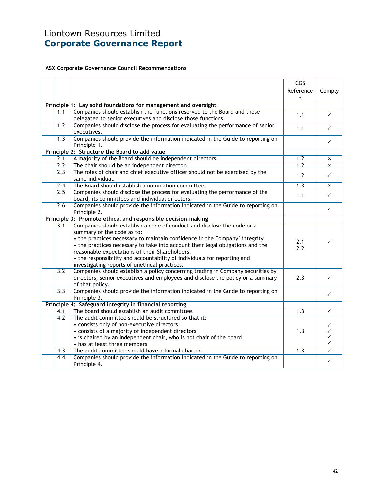# Liontown Resources Limited Corporate Governance Report

### ASX Corporate Governance Council Recommendations

|                  |                                                                                                           | CGS       |                         |
|------------------|-----------------------------------------------------------------------------------------------------------|-----------|-------------------------|
|                  |                                                                                                           | Reference | Comply                  |
|                  | Principle 1: Lay solid foundations for management and oversight                                           |           |                         |
| 1.1              | Companies should establish the functions reserved to the Board and those                                  | 1.1       | $\checkmark$            |
|                  | delegated to senior executives and disclose those functions.                                              |           |                         |
| 1.2              | Companies should disclose the process for evaluating the performance of senior                            | 1.1       | $\checkmark$            |
|                  | executives.                                                                                               |           |                         |
| 1.3              | Companies should provide the information indicated in the Guide to reporting on<br>Principle 1.           |           | ✓                       |
|                  | Principle 2: Structure the Board to add value                                                             |           |                         |
| 2.1              | A majority of the Board should be independent directors.                                                  | 1.2       | $\mathbf{x}$            |
| 2.2              | The chair should be an independent director.                                                              | 1.2       | $\mathbf{x}$            |
| $\overline{2.3}$ | The roles of chair and chief executive officer should not be exercised by the<br>same individual.         | 1.2       | $\checkmark$            |
| 2.4              | The Board should establish a nomination committee.                                                        | 1.3       | $\mathsf{x}$            |
| 2.5              | Companies should disclose the process for evaluating the performance of the                               |           |                         |
|                  | board, its committees and individual directors.                                                           | 1.1       | $\checkmark$            |
| 2.6              | Companies should provide the information indicated in the Guide to reporting on                           |           |                         |
|                  | Principle 2.                                                                                              |           | ✓                       |
|                  | Principle 3: Promote ethical and responsible decision-making                                              |           |                         |
| 3.1              | Companies should establish a code of conduct and disclose the code or a                                   |           |                         |
|                  | summary of the code as to:                                                                                |           |                         |
|                  | • the practices necessary to maintain confidence in the Company' integrity.                               | 2.1       |                         |
|                  | • the practices necessary to take into account their legal obligations and the                            | 2.2       |                         |
|                  | reasonable expectations of their Shareholders.                                                            |           |                         |
|                  | • the responsibility and accountability of individuals for reporting and                                  |           |                         |
|                  | investigating reports of unethical practices.                                                             |           |                         |
| 3.2              | Companies should establish a policy concerning trading in Company securities by                           |           |                         |
|                  | directors, senior executives and employees and disclose the policy or a summary                           | 2.3       | $\checkmark$            |
|                  | of that policy.                                                                                           |           |                         |
| $\overline{3.3}$ | Companies should provide the information indicated in the Guide to reporting on                           |           | $\checkmark$            |
|                  | Principle 3.                                                                                              |           |                         |
|                  | Principle 4: Safeguard integrity in financial reporting<br>The board should establish an audit committee. |           | $\checkmark$            |
| 4.1<br>4.2       | The audit committee should be structured so that it:                                                      | 1.3       |                         |
|                  | • consists only of non-executive directors                                                                |           |                         |
|                  | • consists of a majority of independent directors                                                         | 1.3       |                         |
|                  | • is chaired by an independent chair, who is not chair of the board                                       |           |                         |
|                  | • has at least three members                                                                              |           |                         |
| 4.3              | The audit committee should have a formal charter.                                                         | 1.3       | $\overline{\checkmark}$ |
| 4.4              | Companies should provide the information indicated in the Guide to reporting on                           |           |                         |
|                  | Principle 4.                                                                                              |           | $\checkmark$            |
|                  |                                                                                                           |           |                         |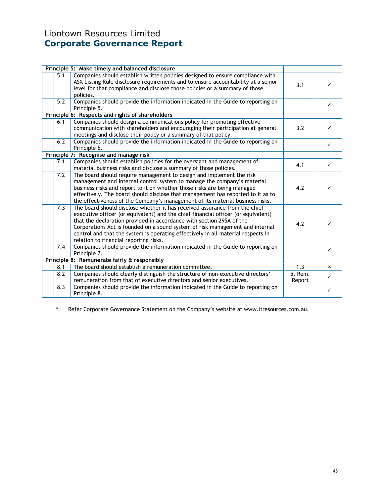# Liontown Resources Limited Corporate Governance Report

|     | Principle 5: Make timely and balanced disclosure                                                                                                                                                                                                                                                                                                                                                                                                       |                     |              |
|-----|--------------------------------------------------------------------------------------------------------------------------------------------------------------------------------------------------------------------------------------------------------------------------------------------------------------------------------------------------------------------------------------------------------------------------------------------------------|---------------------|--------------|
| 5.1 | Companies should establish written policies designed to ensure compliance with<br>ASX Listing Rule disclosure requirements and to ensure accountability at a senior<br>level for that compliance and disclose those policies or a summary of those                                                                                                                                                                                                     | 3.1                 | ✓            |
| 5.2 | policies.                                                                                                                                                                                                                                                                                                                                                                                                                                              |                     |              |
|     | Companies should provide the information indicated in the Guide to reporting on<br>Principle 5.                                                                                                                                                                                                                                                                                                                                                        |                     | $\checkmark$ |
|     | Principle 6: Respects and rights of shareholders                                                                                                                                                                                                                                                                                                                                                                                                       |                     |              |
| 6.1 | Companies should design a communications policy for promoting effective<br>communication with shareholders and encouraging their participation at general<br>meetings and disclose their policy or a summary of that policy.                                                                                                                                                                                                                           | 3.2                 |              |
| 6.2 | Companies should provide the information indicated in the Guide to reporting on<br>Principle 6.                                                                                                                                                                                                                                                                                                                                                        |                     | ✓            |
|     | Principle 7: Recognise and manage risk                                                                                                                                                                                                                                                                                                                                                                                                                 |                     |              |
| 7.1 | Companies should establish policies for the oversight and management of<br>material business risks and disclose a summary of those policies.                                                                                                                                                                                                                                                                                                           | 4.1                 | $\checkmark$ |
| 7.2 | The board should require management to design and implement the risk<br>management and internal control system to manage the company's material<br>business risks and report to it on whether those risks are being managed<br>effectively. The board should disclose that management has reported to it as to<br>the effectiveness of the Company's management of its material business risks.                                                        | 4.2                 |              |
| 7.3 | The board should disclose whether it has received assurance from the chief<br>executive officer (or equivalent) and the chief financial officer (or equivalent)<br>that the declaration provided in accordance with section 295A of the<br>Corporations Act is founded on a sound system of risk management and internal<br>control and that the system is operating effectively in all material respects in<br>relation to financial reporting risks. | 4.2                 |              |
| 7.4 | Companies should provide the information indicated in the Guide to reporting on<br>Principle 7.                                                                                                                                                                                                                                                                                                                                                        |                     | $\checkmark$ |
|     | Principle 8: Remunerate fairly & responsibly                                                                                                                                                                                                                                                                                                                                                                                                           |                     |              |
| 8.1 | The board should establish a remuneration committee.                                                                                                                                                                                                                                                                                                                                                                                                   | 1.3                 | $\mathsf{x}$ |
| 8.2 | Companies should clearly distinguish the structure of non-executive directors'<br>remuneration from that of executive directors and senior executives.                                                                                                                                                                                                                                                                                                 | $5,$ Rem.<br>Report | ✓            |
| 8.3 | Companies should provide the information indicated in the Guide to reporting on<br>Principle 8.                                                                                                                                                                                                                                                                                                                                                        |                     | $\checkmark$ |

\* Refer Corporate Governance Statement on the Company's website at www.ltresources.com.au.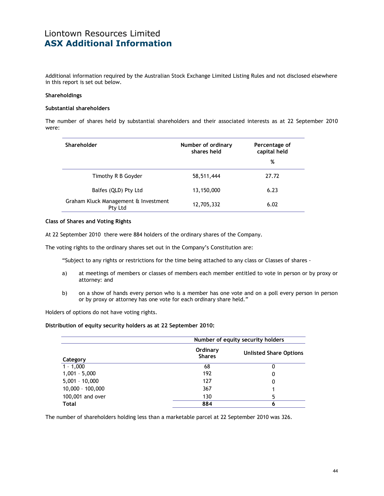## Liontown Resources Limited ASX Additional Information

Additional information required by the Australian Stock Exchange Limited Listing Rules and not disclosed elsewhere in this report is set out below.

#### Shareholdings

#### Substantial shareholders

The number of shares held by substantial shareholders and their associated interests as at 22 September 2010 were:

| Shareholder                                     | Number of ordinary<br>shares held | Percentage of<br>capital held<br>% |
|-------------------------------------------------|-----------------------------------|------------------------------------|
| Timothy R B Goyder                              | 58,511,444                        | 27.72                              |
| Balfes (QLD) Pty Ltd                            | 13,150,000                        | 6.23                               |
| Graham Kluck Management & Investment<br>Pty Ltd | 12,705,332                        | 6.02                               |

#### Class of Shares and Voting Rights

At 22 September 2010 there were 884 holders of the ordinary shares of the Company.

The voting rights to the ordinary shares set out in the Company's Constitution are:

"Subject to any rights or restrictions for the time being attached to any class or Classes of shares -

- a) at meetings of members or classes of members each member entitled to vote in person or by proxy or attorney: and
- b) on a show of hands every person who is a member has one vote and on a poll every person in person or by proxy or attorney has one vote for each ordinary share held."

Holders of options do not have voting rights.

#### Distribution of equity security holders as at 22 September 2010:

|                    | Number of equity security holders |                               |  |  |
|--------------------|-----------------------------------|-------------------------------|--|--|
| Category           | Ordinary<br><b>Shares</b>         | <b>Unlisted Share Options</b> |  |  |
| $1 - 1,000$        | 68                                | O                             |  |  |
| $1,001 - 5,000$    | 192                               | 0                             |  |  |
| $5,001 - 10,000$   | 127                               | 0                             |  |  |
| $10,000 - 100,000$ | 367                               |                               |  |  |
| 100,001 and over   | 130                               | 5                             |  |  |
| <b>Total</b>       | 884                               | 6                             |  |  |

The number of shareholders holding less than a marketable parcel at 22 September 2010 was 326.